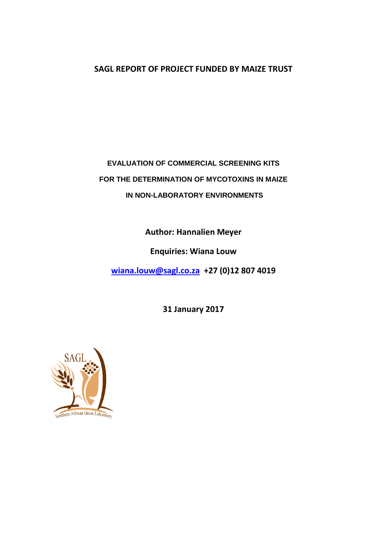# **SAGL REPORT OF PROJECT FUNDED BY MAIZE TRUST**

# **EVALUATION OF COMMERCIAL SCREENING KITS FOR THE DETERMINATION OF MYCOTOXINS IN MAIZE IN NON-LABORATORY ENVIRONMENTS**

**Author: Hannalien Meyer**

**Enquiries: Wiana Louw**

**[wiana.louw@sagl.co.za](mailto:wiana.louw@sagl.co.za) +27 (0)12 807 4019**

**31 January 2017**

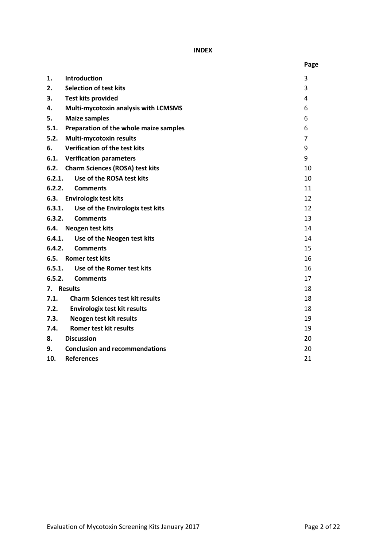**INDEX**

|                                                | Page           |
|------------------------------------------------|----------------|
| <b>Introduction</b><br>1.                      | 3              |
| <b>Selection of test kits</b><br>2.            | 3              |
| 3.<br><b>Test kits provided</b>                | 4              |
| 4.<br>Multi-mycotoxin analysis with LCMSMS     | 6              |
| <b>Maize samples</b><br>5.                     | 6              |
| 5.1.<br>Preparation of the whole maize samples | 6              |
| 5.2.<br><b>Multi-mycotoxin results</b>         | $\overline{7}$ |
| 6.<br>Verification of the test kits            | 9              |
| 6.1.<br><b>Verification parameters</b>         | 9              |
| 6.2.<br><b>Charm Sciences (ROSA) test kits</b> | 10             |
| 6.2.1.<br>Use of the ROSA test kits            | 10             |
| 6.2.2.<br><b>Comments</b>                      | 11             |
| 6.3.<br><b>Envirologix test kits</b>           | 12             |
| 6.3.1.<br>Use of the Envirologix test kits     | 12             |
| 6.3.2.<br><b>Comments</b>                      | 13             |
| 6.4.<br>Neogen test kits                       | 14             |
| 6.4.1.<br>Use of the Neogen test kits          | 14             |
| 6.4.2.<br><b>Comments</b>                      | 15             |
| 6.5.<br><b>Romer test kits</b>                 | 16             |
| Use of the Romer test kits<br>6.5.1.           | 16             |
| 6.5.2.<br><b>Comments</b>                      | 17             |
| 7. Results                                     | 18             |
| 7.1.<br><b>Charm Sciences test kit results</b> | 18             |
| 7.2.<br><b>Envirologix test kit results</b>    | 18             |
| 7.3.<br>Neogen test kit results                | 19             |
| Romer test kit results<br>7.4.                 | 19             |
| <b>Discussion</b><br>8.                        | 20             |
| <b>Conclusion and recommendations</b><br>9.    | 20             |
| 10.<br><b>References</b>                       | 21             |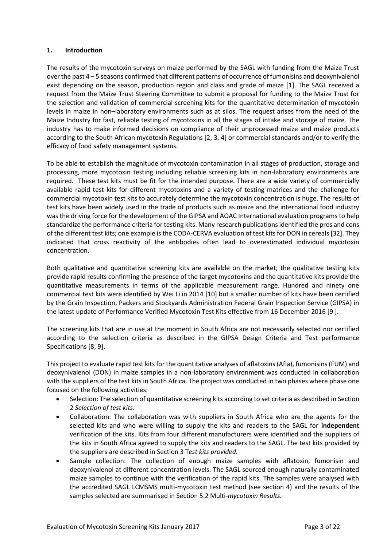### **1. Introduction**

The results of the mycotoxin surveys on maize performed by the SAGL with funding from the Maize Trust over the past 4 – 5 seasons confirmed that different patterns of occurrence of fumonisins and deoxynivalenol exist depending on the season, production region and class and grade of maize [1]. The SAGL received a request from the Maize Trust Steering Committee to submit a proposal for funding to the Maize Trust for the selection and validation of commercial screening kits for the quantitative determination of mycotoxin levels in maize in non–laboratory environments such as at silos. The request arises from the need of the Maize Industry for fast, reliable testing of mycotoxins in all the stages of intake and storage of maize. The industry has to make informed decisions on compliance of their unprocessed maize and maize products according to the South African mycotoxin Regulations [2, 3, 4] or commercial standards and/or to verify the efficacy of food safety management systems.

To be able to establish the magnitude of mycotoxin contamination in all stages of production, storage and processing, more mycotoxin testing including reliable screening kits in non-laboratory environments are required. These test kits must be fit for the intended purpose. There are a wide variety of commercially available rapid test kits for different mycotoxins and a variety of testing matrices and the challenge for commercial mycotoxin test kits to accurately determine the mycotoxin concentration is huge. The results of test kits have been widely used in the trade of products such as maize and the international food industry was the driving force for the development of the GIPSA and AOAC International evaluation programs to help standardize the performance criteria for testing kits. Many research publications identified the pros and cons of the different test kits; one example is the CODA-CERVA evaluation of test kits for DON in cereals [32]. They indicated that cross reactivity of the antibodies often lead to overestimated individual mycotoxin concentration.

Both qualitative and quantitative screening kits are available on the market; the qualitative testing kits provide rapid results confirming the presence of the target mycotoxins and the quantitative kits provide the quantitative measurements in terms of the applicable measurement range. Hundred and ninety one commercial test kits were identified by Wei Li in 2014 [10] but a smaller number of kits have been certified by the Grain Inspection, Packers and Stockyards Administration Federal Grain Inspection Service (GIPSA) in the latest update of Performance Verified Mycotoxin Test Kits effective from 16 December 2016 [9 ].

The screening kits that are in use at the moment in South Africa are not necessarily selected nor certified according to the selection criteria as described in the GIPSA Design Criteria and Test performance Specifications [8, 9].

This project to evaluate rapid test kits for the quantitative analyses of aflatoxins(Afla), fumonisins (FUM) and deoxynivalenol (DON) in maize samples in a non-laboratory environment was conducted in collaboration with the suppliers of the test kits in South Africa. The project was conducted in two phases where phase one focused on the following activities:

- Selection: The selection of quantitative screening kits according to set criteria as described in Section 2 *Selection of test kits*.
- Collaboration: The collaboration was with suppliers in South Africa who are the agents for the selected kits and who were willing to supply the kits and readers to the SAGL for **independent** verification of the kits. Kits from four different manufacturers were identified and the suppliers of the kits in South Africa agreed to supply the kits and readers to the SAGL. The test kits provided by the suppliers are described in Section 3 T*est kits provided.*
- Sample collection: The collection of enough maize samples with aflatoxin, fumonisin and deoxynivalenol at different concentration levels. The SAGL sourced enough naturally contaminated maize samples to continue with the verification of the rapid kits. The samples were analysed with the accredited SAGL LCMSMS multi-mycotoxin test method (see section 4) and the results of the samples selected are summarised in Section 5.2 Multi*-mycotoxin Results.*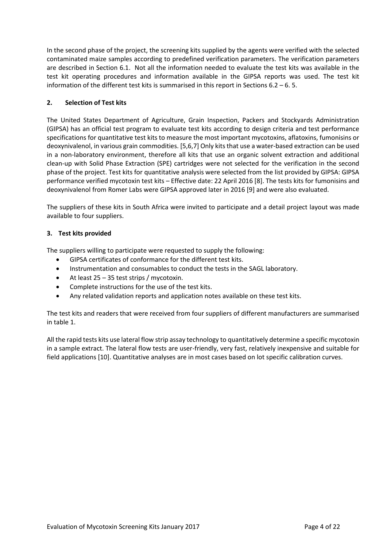In the second phase of the project, the screening kits supplied by the agents were verified with the selected contaminated maize samples according to predefined verification parameters. The verification parameters are described in Section 6.1. Not all the information needed to evaluate the test kits was available in the test kit operating procedures and information available in the GIPSA reports was used. The test kit information of the different test kits is summarised in this report in Sections  $6.2 - 6.5$ .

### **2. Selection of Test kits**

The United States Department of Agriculture, Grain Inspection, Packers and Stockyards Administration (GIPSA) has an official test program to evaluate test kits according to design criteria and test performance specifications for quantitative test kits to measure the most important mycotoxins, aflatoxins, fumonisins or deoxynivalenol, in various grain commodities. [5,6,7] Only kits that use a water-based extraction can be used in a non-laboratory environment, therefore all kits that use an organic solvent extraction and additional clean-up with Solid Phase Extraction (SPE) cartridges were not selected for the verification in the second phase of the project. Test kits for quantitative analysis were selected from the list provided by GIPSA: GIPSA performance verified mycotoxin test kits – Effective date: 22 April 2016 [8]. The tests kits for fumonisins and deoxynivalenol from Romer Labs were GIPSA approved later in 2016 [9] and were also evaluated.

The suppliers of these kits in South Africa were invited to participate and a detail project layout was made available to four suppliers.

### **3. Test kits provided**

The suppliers willing to participate were requested to supply the following:

- GIPSA certificates of conformance for the different test kits.
- Instrumentation and consumables to conduct the tests in the SAGL laboratory.
- $\bullet$  At least 25 35 test strips / mycotoxin.
- Complete instructions for the use of the test kits.
- Any related validation reports and application notes available on these test kits.

The test kits and readers that were received from four suppliers of different manufacturers are summarised in table 1.

All the rapid tests kits use lateral flow strip assay technology to quantitatively determine a specific mycotoxin in a sample extract. The lateral flow tests are user-friendly, very fast, relatively inexpensive and suitable for field applications [10]. Quantitative analyses are in most cases based on lot specific calibration curves.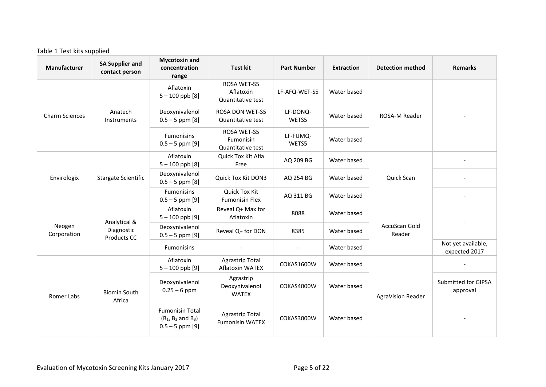# Table 1 Test kits supplied

| Manufacturer          | <b>SA Supplier and</b><br>contact person | <b>Mycotoxin and</b><br>concentration<br>range                               | <b>Test kit</b>                                      | <b>Part Number</b> | <b>Extraction</b> | <b>Detection method</b> | <b>Remarks</b>                      |
|-----------------------|------------------------------------------|------------------------------------------------------------------------------|------------------------------------------------------|--------------------|-------------------|-------------------------|-------------------------------------|
|                       |                                          | Aflatoxin<br>$5 - 100$ ppb $[8]$                                             | ROSA WET-S5<br>Aflatoxin<br>Quantitative test        | LF-AFQ-WET-S5      | Water based       |                         |                                     |
| <b>Charm Sciences</b> | Anatech<br>Instruments                   | Deoxynivalenol<br>$0.5 - 5$ ppm $[8]$                                        | <b>ROSA DON WET-S5</b><br>Quantitative test          | LF-DONQ-<br>WETS5  | Water based       | ROSA-M Reader           |                                     |
|                       |                                          | Fumonisins<br>$0.5 - 5$ ppm [9]                                              | <b>ROSA WET-S5</b><br>Fumonisin<br>Quantitative test | LF-FUMQ-<br>WETS5  | Water based       |                         |                                     |
|                       |                                          | Aflatoxin<br>$5 - 100$ ppb $[8]$                                             | Quick Tox Kit Afla<br>Free                           | AQ 209 BG          | Water based       |                         |                                     |
| Envirologix           | Stargate Scientific                      | Deoxynivalenol<br>$0.5 - 5$ ppm $[8]$                                        | Quick Tox Kit DON3                                   | AQ 254 BG          | Water based       | Quick Scan              |                                     |
|                       |                                          | <b>Fumonisins</b><br>$0.5 - 5$ ppm [9]                                       | <b>Quick Tox Kit</b><br><b>Fumonisin Flex</b>        | AQ 311 BG          | Water based       |                         |                                     |
|                       | Analytical &                             | Aflatoxin<br>$5 - 100$ ppb $[9]$                                             | Reveal Q+ Max for<br>Aflatoxin                       | 8088               | Water based       |                         |                                     |
| Neogen<br>Corporation | Diagnostic<br>Products CC                | Deoxynivalenol<br>$0.5 - 5$ ppm [9]                                          | Reveal Q+ for DON                                    | 8385               | Water based       | AccuScan Gold<br>Reader |                                     |
|                       |                                          | <b>Fumonisins</b>                                                            |                                                      | $- -$              | Water based       |                         | Not yet available,<br>expected 2017 |
|                       |                                          | Aflatoxin<br>$5 - 100$ ppb $[9]$                                             | <b>Agrastrip Total</b><br>Aflatoxin WATEX            | COKAS1600W         | Water based       |                         |                                     |
| Romer Labs            | <b>Biomin South</b>                      | Deoxynivalenol<br>$0.25 - 6$ ppm                                             | Agrastrip<br>Deoxynivalenol<br><b>WATEX</b>          | COKAS4000W         | Water based       | AgraVision Reader       | Submitted for GIPSA<br>approval     |
|                       | Africa                                   | <b>Fumonisin Total</b><br>$(B_1, B_2 \text{ and } B_3)$<br>$0.5 - 5$ ppm [9] | <b>Agrastrip Total</b><br><b>Fumonisin WATEX</b>     | COKAS3000W         | Water based       |                         |                                     |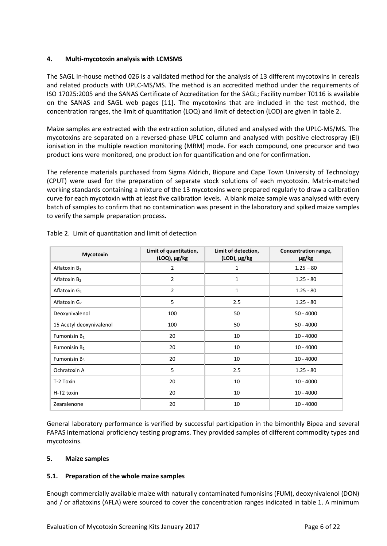### **4. Multi-mycotoxin analysis with LCMSMS**

The SAGL In-house method 026 is a validated method for the analysis of 13 different mycotoxins in cereals and related products with UPLC-MS/MS. The method is an accredited method under the requirements of ISO 17025:2005 and the SANAS Certificate of Accreditation for the SAGL; Facility number T0116 is available on the SANAS and SAGL web pages [11]. The mycotoxins that are included in the test method, the concentration ranges, the limit of quantitation (LOQ) and limit of detection (LOD) are given in table 2.

Maize samples are extracted with the extraction solution, diluted and analysed with the UPLC-MS/MS. The mycotoxins are separated on a reversed-phase UPLC column and analysed with positive electrospray (EI) ionisation in the multiple reaction monitoring (MRM) mode. For each compound, one precursor and two product ions were monitored, one product ion for quantification and one for confirmation.

The reference materials purchased from Sigma Aldrich, Biopure and Cape Town University of Technology (CPUT) were used for the preparation of separate stock solutions of each mycotoxin. Matrix-matched working standards containing a mixture of the 13 mycotoxins were prepared regularly to draw a calibration curve for each mycotoxin with at least five calibration levels. A blank maize sample was analysed with every batch of samples to confirm that no contamination was present in the laboratory and spiked maize samples to verify the sample preparation process.

| Mycotoxin                | Limit of quantitation,<br>$(LOQ)$ , $\mu$ g/kg | Limit of detection,<br>(LOD), µg/kg | Concentration range,<br>$\mu$ g/kg |
|--------------------------|------------------------------------------------|-------------------------------------|------------------------------------|
| Aflatoxin $B_1$          | 2                                              | 1                                   | $1.25 - 80$                        |
| Aflatoxin B <sub>2</sub> | 2                                              | 1                                   | $1.25 - 80$                        |
| Aflatoxin $G_1$          | $\overline{2}$                                 | $\mathbf{1}$                        | $1.25 - 80$                        |
| Aflatoxin G <sub>2</sub> | 5                                              | 2.5                                 | $1.25 - 80$                        |
| Deoxynivalenol           | 100                                            | 50                                  | $50 - 4000$                        |
| 15 Acetyl deoxynivalenol | 100                                            | 50                                  | $50 - 4000$                        |
| Fumonisin $B_1$          | 20                                             | 10                                  | $10 - 4000$                        |
| Fumonisin $B_2$          | 20                                             | 10                                  | $10 - 4000$                        |
| Fumonisin $B_3$          | 20                                             | 10                                  | $10 - 4000$                        |
| Ochratoxin A             | 5                                              | 2.5                                 | $1.25 - 80$                        |
| T-2 Toxin                | 20                                             | 10                                  | $10 - 4000$                        |
| H-T2 toxin               | 20                                             | 10                                  | $10 - 4000$                        |
| Zearalenone              | 20                                             | 10                                  | $10 - 4000$                        |

Table 2. Limit of quantitation and limit of detection

General laboratory performance is verified by successful participation in the bimonthly Bipea and several FAPAS international proficiency testing programs. They provided samples of different commodity types and mycotoxins.

#### **5. Maize samples**

### **5.1. Preparation of the whole maize samples**

Enough commercially available maize with naturally contaminated fumonisins (FUM), deoxynivalenol (DON) and / or aflatoxins (AFLA) were sourced to cover the concentration ranges indicated in table 1. A minimum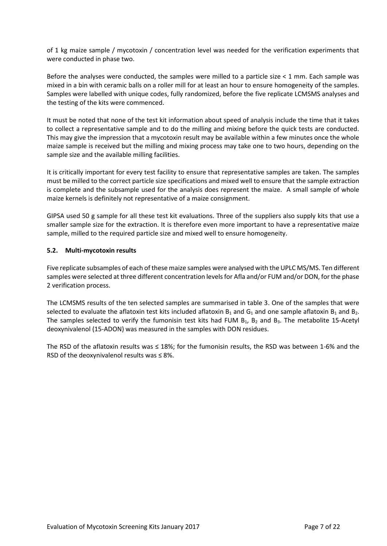of 1 kg maize sample / mycotoxin / concentration level was needed for the verification experiments that were conducted in phase two.

Before the analyses were conducted, the samples were milled to a particle size < 1 mm. Each sample was mixed in a bin with ceramic balls on a roller mill for at least an hour to ensure homogeneity of the samples. Samples were labelled with unique codes, fully randomized, before the five replicate LCMSMS analyses and the testing of the kits were commenced.

It must be noted that none of the test kit information about speed of analysis include the time that it takes to collect a representative sample and to do the milling and mixing before the quick tests are conducted. This may give the impression that a mycotoxin result may be available within a few minutes once the whole maize sample is received but the milling and mixing process may take one to two hours, depending on the sample size and the available milling facilities.

It is critically important for every test facility to ensure that representative samples are taken. The samples must be milled to the correct particle size specifications and mixed well to ensure that the sample extraction is complete and the subsample used for the analysis does represent the maize. A small sample of whole maize kernels is definitely not representative of a maize consignment.

GIPSA used 50 g sample for all these test kit evaluations. Three of the suppliers also supply kits that use a smaller sample size for the extraction. It is therefore even more important to have a representative maize sample, milled to the required particle size and mixed well to ensure homogeneity.

### **5.2. Multi-mycotoxin results**

Five replicate subsamples of each of these maize samples were analysed with the UPLC MS/MS. Ten different samples were selected at three different concentration levels for Afla and/or FUM and/or DON, for the phase 2 verification process.

The LCMSMS results of the ten selected samples are summarised in table 3. One of the samples that were selected to evaluate the aflatoxin test kits included aflatoxin  $B_1$  and  $G_1$  and one sample aflatoxin  $B_1$  and  $B_2$ . The samples selected to verify the fumonisin test kits had FUM  $B_1$ ,  $B_2$  and  $B_3$ . The metabolite 15-Acetyl deoxynivalenol (15-ADON) was measured in the samples with DON residues.

The RSD of the aflatoxin results was ≤ 18%; for the fumonisin results, the RSD was between 1-6% and the RSD of the deoxynivalenol results was ≤ 8%.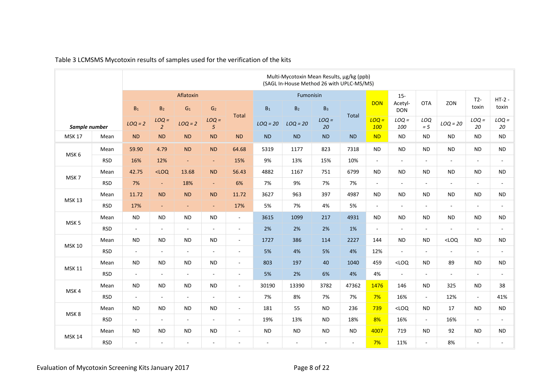|                  |            | Multi-Mycotoxin Mean Results, μg/kg (ppb)<br>(SAGL In-House Method 26 with UPLC-MS/MS) |                           |                          |                          |                          |                |                             |               |                |                |                                 |                |                |                          |                   |
|------------------|------------|----------------------------------------------------------------------------------------|---------------------------|--------------------------|--------------------------|--------------------------|----------------|-----------------------------|---------------|----------------|----------------|---------------------------------|----------------|----------------|--------------------------|-------------------|
|                  |            | $\mathsf{B}_1$                                                                         | B <sub>2</sub>            | Aflatoxin<br>${\sf G}_1$ | G <sub>2</sub>           |                          | $B_1$          | Fumonisin<br>$\mathsf{B}_2$ | $B_3$         |                | <b>DON</b>     | $15 -$<br>Acetyl-<br><b>DON</b> | <b>OTA</b>     | ZON            | $T2-$<br>toxin           | $HT-2$ -<br>toxin |
| Sample number    |            | $LOQ = 2$                                                                              | $LOQ =$<br>$\overline{2}$ | $LOQ = 2$                | $LOQ =$<br>5             | <b>Total</b>             | $LOQ = 20$     | $LOQ = 20$                  | $LOQ =$<br>20 | <b>Total</b>   | $LOQ =$<br>100 | $LOQ =$<br>100                  | LOQ<br>$= 5$   | $LOQ = 20$     | $LOQ =$<br>20            | $LOQ =$<br>20     |
| <b>MSK 17</b>    | Mean       | ND                                                                                     | <b>ND</b>                 | <b>ND</b>                | <b>ND</b>                | <b>ND</b>                | <b>ND</b>      | <b>ND</b>                   | <b>ND</b>     | <b>ND</b>      | <b>ND</b>      | <b>ND</b>                       | <b>ND</b>      | <b>ND</b>      | <b>ND</b>                | <b>ND</b>         |
| MSK 6            | Mean       | 59.90                                                                                  | 4.79                      | <b>ND</b>                | <b>ND</b>                | 64.68                    | 5319           | 1177                        | 823           | 7318           | <b>ND</b>      | <b>ND</b>                       | <b>ND</b>      | <b>ND</b>      | <b>ND</b>                | $\sf ND$          |
|                  | <b>RSD</b> | 16%                                                                                    | 12%                       | $\sim$                   | $\blacksquare$           | 15%                      | 9%             | 13%                         | 15%           | 10%            | $\mathbb{Z}^2$ | $\sim$                          | $\sim$         | $\blacksquare$ | $\sim$                   | $\sim$            |
| MSK7             | Mean       | 42.75                                                                                  | $<$ LOQ                   | 13.68                    | <b>ND</b>                | 56.43                    | 4882           | 1167                        | 751           | 6799           | <b>ND</b>      | <b>ND</b>                       | <b>ND</b>      | <b>ND</b>      | <b>ND</b>                | <b>ND</b>         |
|                  | <b>RSD</b> | 7%                                                                                     | $\blacksquare$            | 18%                      | $\equiv$                 | 6%                       | 7%             | 9%                          | 7%            | 7%             | $\blacksquare$ | $\mathbb{Z}^2$                  | $\blacksquare$ | $\blacksquare$ | $\sim$                   | $\sim$            |
| <b>MSK 13</b>    | Mean       | 11.72                                                                                  | <b>ND</b>                 | <b>ND</b>                | <b>ND</b>                | 11.72                    | 3627           | 963                         | 397           | 4987           | <b>ND</b>      | <b>ND</b>                       | <b>ND</b>      | <b>ND</b>      | <b>ND</b>                | <b>ND</b>         |
|                  | <b>RSD</b> | 17%                                                                                    | $\overline{\phantom{a}}$  | $\sim$                   | $\blacksquare$           | 17%                      | 5%             | 7%                          | 4%            | 5%             | $\mathbb{L}$   | $\sim$                          | $\sim$         | $\sim$         | $\blacksquare$           | $\sim$            |
| MSK <sub>5</sub> | Mean       | <b>ND</b>                                                                              | <b>ND</b>                 | <b>ND</b>                | <b>ND</b>                | $\blacksquare$           | 3615           | 1099                        | 217           | 4931           | <b>ND</b>      | <b>ND</b>                       | <b>ND</b>      | <b>ND</b>      | <b>ND</b>                | <b>ND</b>         |
|                  | <b>RSD</b> | $\mathcal{L}_{\mathcal{A}}$                                                            | $\overline{\phantom{a}}$  | $\overline{\phantom{a}}$ | $\sim$                   | $\blacksquare$           | 2%             | 2%                          | 2%            | 1%             | $\mathbb{L}$   | $\overline{\phantom{a}}$        | $\sim$         | ÷,             | $\blacksquare$           | $\sim$            |
|                  | Mean       | <b>ND</b>                                                                              | <b>ND</b>                 | <b>ND</b>                | <b>ND</b>                | $\overline{\phantom{a}}$ | 1727           | 386                         | 114           | 2227           | 144            | <b>ND</b>                       | <b>ND</b>      | $<$ LOQ        | <b>ND</b>                | <b>ND</b>         |
| <b>MSK 10</b>    | <b>RSD</b> | $\mathcal{L}_{\mathcal{A}}$                                                            | $\sim$                    | $\sim$                   | $\sim$                   | $\sim$                   | 5%             | 4%                          | 5%            | 4%             | 12%            | $\sim$                          | $\sim$         | $\sim$         | $\overline{a}$           | $\sim$            |
| <b>MSK 11</b>    | Mean       | <b>ND</b>                                                                              | <b>ND</b>                 | <b>ND</b>                | <b>ND</b>                | $\blacksquare$           | 803            | 197                         | 40            | 1040           | 459            | $<$ LOQ                         | <b>ND</b>      | 89             | <b>ND</b>                | <b>ND</b>         |
|                  | <b>RSD</b> | $\mathcal{L}_{\mathcal{A}}$                                                            | $\overline{\phantom{a}}$  | $\overline{\phantom{a}}$ | $\overline{\phantom{a}}$ | $\overline{\phantom{a}}$ | 5%             | 2%                          | 6%            | 4%             | 4%             | $\overline{\phantom{a}}$        | $\sim$         | $\blacksquare$ | $\overline{\phantom{a}}$ | $\sim$            |
| MSK4             | Mean       | <b>ND</b>                                                                              | <b>ND</b>                 | <b>ND</b>                | <b>ND</b>                | $\overline{\phantom{a}}$ | 30190          | 13390                       | 3782          | 47362          | 1476           | 146                             | <b>ND</b>      | 325            | <b>ND</b>                | 38                |
|                  | <b>RSD</b> | $\mathcal{L}_{\mathcal{A}}$                                                            | $\sim$                    | $\blacksquare$           | $\overline{\phantom{a}}$ | $\overline{\phantom{a}}$ | 7%             | 8%                          | 7%            | 7%             | 7%             | 16%                             | $\omega$       | 12%            | $\bar{a}$                | 41%               |
| MSK8             | Mean       | <b>ND</b>                                                                              | <b>ND</b>                 | <b>ND</b>                | <b>ND</b>                | $\blacksquare$           | 181            | 55                          | <b>ND</b>     | 236            | 739            | $<$ LOQ                         | <b>ND</b>      | 17             | <b>ND</b>                | <b>ND</b>         |
|                  | <b>RSD</b> | $\mathbf{r}$                                                                           | $\sim$                    | $\omega$                 | $\sim$                   | $\overline{\phantom{a}}$ | 19%            | 13%                         | <b>ND</b>     | 18%            | 8%             | 16%                             | $\omega$       | 16%            | $\sim$                   | $\sim$            |
|                  | Mean       | <b>ND</b>                                                                              | <b>ND</b>                 | <b>ND</b>                | <b>ND</b>                | $\blacksquare$           | <b>ND</b>      | <b>ND</b>                   | <b>ND</b>     | <b>ND</b>      | 4007           | 719                             | <b>ND</b>      | 92             | <b>ND</b>                | <b>ND</b>         |
| <b>MSK 14</b>    | <b>RSD</b> | $\sim$                                                                                 | $\blacksquare$            | $\sim$                   | $\blacksquare$           | $\blacksquare$           | $\overline{a}$ | $\sim$                      | $\sim$        | $\blacksquare$ | 7%             | 11%                             | $\omega$       | 8%             | $\overline{\phantom{a}}$ | $\blacksquare$    |

# Table 3 LCMSMS Mycotoxin results of samples used for the verification of the kits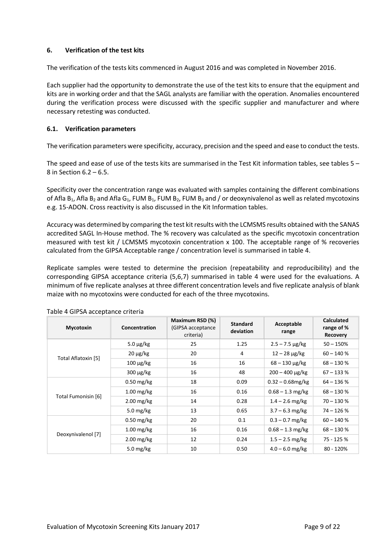### **6. Verification of the test kits**

The verification of the tests kits commenced in August 2016 and was completed in November 2016.

Each supplier had the opportunity to demonstrate the use of the test kits to ensure that the equipment and kits are in working order and that the SAGL analysts are familiar with the operation. Anomalies encountered during the verification process were discussed with the specific supplier and manufacturer and where necessary retesting was conducted.

### **6.1. Verification parameters**

The verification parameters were specificity, accuracy, precision and the speed and ease to conduct the tests.

The speed and ease of use of the tests kits are summarised in the Test Kit information tables, see tables 5 – 8 in Section 6.2 – 6.5.

Specificity over the concentration range was evaluated with samples containing the different combinations of Afla B<sub>1</sub>, Afla B<sub>2</sub> and Afla G<sub>1</sub>, FUM B<sub>1</sub>, FUM B<sub>2</sub>, FUM B<sub>3</sub> and / or deoxynivalenol as well as related mycotoxins e.g. 15-ADON. Cross reactivity is also discussed in the Kit Information tables.

Accuracy was determined by comparing the test kit results with the LCMSMS results obtained with the SANAS accredited SAGL In-House method. The % recovery was calculated as the specific mycotoxin concentration measured with test kit / LCMSMS mycotoxin concentration x 100. The acceptable range of % recoveries calculated from the GIPSA Acceptable range / concentration level is summarised in table 4.

Replicate samples were tested to determine the precision (repeatability and reproducibility) and the corresponding GIPSA acceptance criteria (5,6,7) summarised in table 4 were used for the evaluations. A minimum of five replicate analyses at three different concentration levels and five replicate analysis of blank maize with no mycotoxins were conducted for each of the three mycotoxins.

| <b>Mycotoxin</b>    | Concentration  | Maximum RSD (%)<br>(GIPSA acceptance<br>criteria) | <b>Standard</b><br>deviation | Acceptable<br>range               | <b>Calculated</b><br>range of %<br><b>Recovery</b> |
|---------------------|----------------|---------------------------------------------------|------------------------------|-----------------------------------|----------------------------------------------------|
|                     | $5.0 \mu g/kg$ | 25                                                | 1.25                         | $2.5 - 7.5 \,\mu g/kg$            | $50 - 150%$                                        |
| Total Aflatoxin [5] | $20 \mu g/kg$  | 20                                                | 4                            | $12 - 28 \mu g/kg$                | $60 - 140 %$                                       |
|                     | $100 \mu g/kg$ | 16                                                | 16                           | $68 - 130 \,\mathrm{\upmu g/kg}$  | $68 - 130%$                                        |
|                     | $300 \mu g/kg$ | 16                                                | 48                           | $200 - 400 \,\mathrm{\upmu g/kg}$ | $67 - 133%$                                        |
|                     | $0.50$ mg/kg   | 18                                                | 0.09                         | $0.32 - 0.68$ mg/kg               | $64 - 136 %$                                       |
| Total Fumonisin [6] | $1.00$ mg/kg   | 16                                                | 0.16                         | $0.68 - 1.3$ mg/kg                | $68 - 130%$                                        |
|                     | $2.00$ mg/kg   | 14                                                | 0.28                         | $1.4 - 2.6$ mg/kg                 | $70 - 130%$                                        |
|                     | 5.0 $mg/kg$    | 13                                                | 0.65                         | $3.7 - 6.3$ mg/kg                 | $74 - 126%$                                        |
| Deoxynivalenol [7]  | $0.50$ mg/kg   | 20                                                | 0.1                          | $0.3 - 0.7$ mg/kg                 | $60 - 140 %$                                       |
|                     | $1.00$ mg/kg   | 16                                                | 0.16                         | $0.68 - 1.3$ mg/kg                | $68 - 130%$                                        |
|                     | $2.00$ mg/kg   | 12                                                | 0.24                         | $1.5 - 2.5$ mg/kg                 | 75 - 125 %                                         |
|                     | 5.0 $mg/kg$    | 10                                                | 0.50                         | $4.0 - 6.0$ mg/kg                 | 80 - 120%                                          |

Table 4 GIPSA acceptance criteria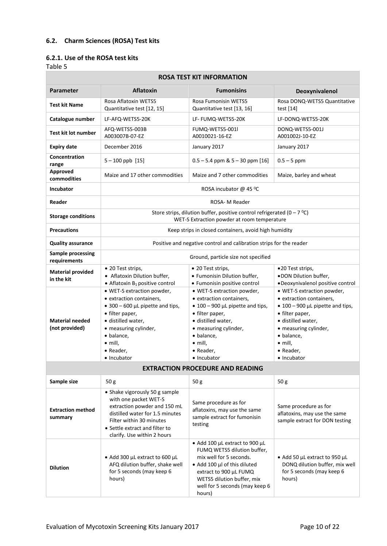# **6.2. Charm Sciences (ROSA) Test kits**

# **6.2.1. Use of the ROSA test kits**

| <b>ROSA TEST KIT INFORMATION</b>         |                                                                                                                                                                                                                           |                                                                                                                                                                                                                                   |                                                                                                                                                                                                                                   |  |  |  |
|------------------------------------------|---------------------------------------------------------------------------------------------------------------------------------------------------------------------------------------------------------------------------|-----------------------------------------------------------------------------------------------------------------------------------------------------------------------------------------------------------------------------------|-----------------------------------------------------------------------------------------------------------------------------------------------------------------------------------------------------------------------------------|--|--|--|
| <b>Parameter</b>                         | <b>Aflatoxin</b>                                                                                                                                                                                                          | <b>Fumonisins</b>                                                                                                                                                                                                                 | Deoxynivalenol                                                                                                                                                                                                                    |  |  |  |
| Test kit Name                            | Rosa Aflatoxin WETS5<br>Quantitative test [12, 15]                                                                                                                                                                        | Rosa Fumonisin WETS5<br>Quantitative test [13, 16]                                                                                                                                                                                | Rosa DONQ-WETS5 Quantitative<br>test $[14]$                                                                                                                                                                                       |  |  |  |
| Catalogue number                         | LF-AFQ-WETS5-20K                                                                                                                                                                                                          | LF- FUMQ-WETS5-20K                                                                                                                                                                                                                | LF-DONQ-WETS5-20K                                                                                                                                                                                                                 |  |  |  |
| <b>Test kit lot number</b>               | AFQ-WETS5-003B<br>A003007B-07-EZ                                                                                                                                                                                          | FUMQ-WETS5-001l<br>A0010021-16-EZ                                                                                                                                                                                                 | DONQ-WETS5-001J<br>A001002J-10-EZ                                                                                                                                                                                                 |  |  |  |
| <b>Expiry date</b>                       | December 2016                                                                                                                                                                                                             | January 2017                                                                                                                                                                                                                      | January 2017                                                                                                                                                                                                                      |  |  |  |
| Concentration<br>range                   | $5 - 100$ ppb $[15]$                                                                                                                                                                                                      | $0.5 - 5.4$ ppm & $5 - 30$ ppm [16]                                                                                                                                                                                               | $0.5 - 5$ ppm                                                                                                                                                                                                                     |  |  |  |
| Approved<br>commodities                  | Maize and 17 other commodities                                                                                                                                                                                            | Maize and 7 other commodities                                                                                                                                                                                                     | Maize, barley and wheat                                                                                                                                                                                                           |  |  |  |
| <b>Incubator</b>                         |                                                                                                                                                                                                                           | ROSA incubator @ 45 °C                                                                                                                                                                                                            |                                                                                                                                                                                                                                   |  |  |  |
| Reader                                   |                                                                                                                                                                                                                           | ROSA- M Reader                                                                                                                                                                                                                    |                                                                                                                                                                                                                                   |  |  |  |
| <b>Storage conditions</b>                |                                                                                                                                                                                                                           | Store strips, dilution buffer, positive control refrigerated (0 – 7 °C)<br>WET-S Extraction powder at room temperature                                                                                                            |                                                                                                                                                                                                                                   |  |  |  |
| <b>Precautions</b>                       |                                                                                                                                                                                                                           | Keep strips in closed containers, avoid high humidity                                                                                                                                                                             |                                                                                                                                                                                                                                   |  |  |  |
| <b>Quality assurance</b>                 |                                                                                                                                                                                                                           | Positive and negative control and calibration strips for the reader                                                                                                                                                               |                                                                                                                                                                                                                                   |  |  |  |
| <b>Sample processing</b><br>requirements |                                                                                                                                                                                                                           | Ground, particle size not specified                                                                                                                                                                                               |                                                                                                                                                                                                                                   |  |  |  |
| <b>Material provided</b><br>in the kit   | • 20 Test strips,<br>• Aflatoxin Dilution buffer,<br>$\bullet$ Aflatoxin B <sub>1</sub> positive control                                                                                                                  | • 20 Test strips,<br>· Fumonisin Dilution buffer,<br>• Fumonisin positive control                                                                                                                                                 | •20 Test strips,<br>.DON Dilution buffer,<br>·Deoxynivalenol positive control                                                                                                                                                     |  |  |  |
| <b>Material needed</b><br>(not provided) | • WET-S extraction powder,<br>• extraction containers,<br>• 300 – 600 µL pipette and tips,<br>• filter paper,<br>· distilled water,<br>• measuring cylinder,<br>· balance,<br>$\bullet$ mill,<br>• Reader,<br>• Incubator | • WET-S extraction powder,<br>• extraction containers,<br>$\bullet$ 100 – 900 µL pipette and tips,<br>• filter paper,<br>· distilled water,<br>• measuring cylinder,<br>· balance,<br>$\bullet$ mill,<br>• Reader,<br>• Incubator | • WET-S extraction powder,<br>• extraction containers,<br>$\bullet$ 100 – 900 µL pipette and tips,<br>• filter paper,<br>· distilled water,<br>• measuring cylinder,<br>· balance,<br>$\bullet$ mill,<br>• Reader,<br>• Incubator |  |  |  |
|                                          |                                                                                                                                                                                                                           | <b>EXTRACTION PROCEDURE AND READING</b>                                                                                                                                                                                           |                                                                                                                                                                                                                                   |  |  |  |
| Sample size                              | 50 g                                                                                                                                                                                                                      | 50 g                                                                                                                                                                                                                              | 50 g                                                                                                                                                                                                                              |  |  |  |
| <b>Extraction method</b><br>summary      | • Shake vigorously 50 g sample<br>with one packet WET-S<br>extraction powder and 150 mL<br>distilled water for 1.5 minutes<br>Filter within 30 minutes<br>• Settle extract and filter to<br>clarify. Use within 2 hours   | Same procedure as for<br>aflatoxins, may use the same<br>sample extract for fumonisin<br>testing                                                                                                                                  | Same procedure as for<br>aflatoxins, may use the same<br>sample extract for DON testing                                                                                                                                           |  |  |  |
| <b>Dilution</b>                          | • Add 300 µL extract to 600 µL<br>AFQ dilution buffer, shake well<br>for 5 seconds (may keep 6<br>hours)                                                                                                                  | • Add 100 µL extract to 900 µL<br>FUMQ WETS5 dilution buffer,<br>mix well for 5 seconds.<br>• Add 100 µl of this diluted<br>extract to 900 µL FUMQ<br>WETS5 dilution buffer, mix<br>well for 5 seconds (may keep 6<br>hours)      | • Add 50 µL extract to 950 µL<br>DONQ dilution buffer, mix well<br>for 5 seconds (may keep 6<br>hours)                                                                                                                            |  |  |  |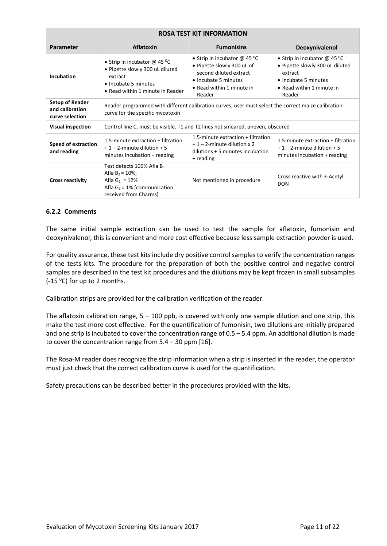| <b>ROSA TEST KIT INFORMATION</b>                             |                                                                                                                                          |                                                                                                                                                       |                                                                                                                                                   |  |  |
|--------------------------------------------------------------|------------------------------------------------------------------------------------------------------------------------------------------|-------------------------------------------------------------------------------------------------------------------------------------------------------|---------------------------------------------------------------------------------------------------------------------------------------------------|--|--|
| Parameter                                                    | <b>Aflatoxin</b>                                                                                                                         | <b>Fumonisins</b>                                                                                                                                     | Deoxynivalenol                                                                                                                                    |  |  |
| Incubation                                                   | • Strip in incubator $@$ 45 °C<br>• Pipette slowly 300 uL diluted<br>extract<br>• Incubate 5 minutes<br>• Read within 1 minute in Reader | • Strip in incubator $@$ 45 °C<br>• Pipette slowly 300 uL of<br>second diluted extract<br>• Incubate 5 minutes<br>• Read within 1 minute in<br>Reader | • Strip in incubator @ 45 °C<br>• Pipette slowly 300 uL diluted<br>extract<br>• Incubate 5 minutes<br>$\bullet$ Read within 1 minute in<br>Reader |  |  |
| <b>Setup of Reader</b><br>and calibration<br>curve selection | Reader programmed with different calibration curves, user must select the correct maize calibration<br>curve for the specific mycotoxin  |                                                                                                                                                       |                                                                                                                                                   |  |  |
| <b>Visual inspection</b>                                     |                                                                                                                                          | Control line C, must be visible. T1 and T2 lines not smeared, uneven, obscured                                                                        |                                                                                                                                                   |  |  |
| <b>Speed of extraction</b><br>and reading                    | 1.5-minute extraction + filtration<br>$+1 - 2$ -minute dilution + 5<br>minutes incubation + reading                                      | 1.5-minute extraction $+$ filtration<br>$+1-2$ -minute dilution x 2<br>dilutions + 5 minutes incubation<br>+ reading                                  | 1.5-minute extraction + filtration<br>$+1-2$ -minute dilution + 5<br>minutes incubation + reading                                                 |  |  |
| <b>Cross reactivity</b>                                      | Test detects 100% Afla B1<br>Afla $B_2 = 10\%$ ,<br>Afla $G_1 = 12\%$<br>Afla $G_2 = 1\%$ [communication<br>received from Charms]        | Not mentioned in procedure                                                                                                                            | Cross reactive with 3-Acetyl<br><b>DON</b>                                                                                                        |  |  |

### **6.2.2 Comments**

The same initial sample extraction can be used to test the sample for aflatoxin, fumonisin and deoxynivalenol; this is convenient and more cost effective because less sample extraction powder is used.

For quality assurance, these test kits include dry positive control samples to verify the concentration ranges of the tests kits. The procedure for the preparation of both the positive control and negative control samples are described in the test kit procedures and the dilutions may be kept frozen in small subsamples  $(-15<sup>0</sup>C)$  for up to 2 months.

Calibration strips are provided for the calibration verification of the reader.

The aflatoxin calibration range,  $5 - 100$  ppb, is covered with only one sample dilution and one strip, this make the test more cost effective. For the quantification of fumonisin, two dilutions are initially prepared and one strip is incubated to cover the concentration range of 0.5 – 5.4 ppm. An additional dilution is made to cover the concentration range from 5.4 – 30 ppm [16].

The Rosa-M reader does recognize the strip information when a strip is inserted in the reader, the operator must just check that the correct calibration curve is used for the quantification.

Safety precautions can be described better in the procedures provided with the kits.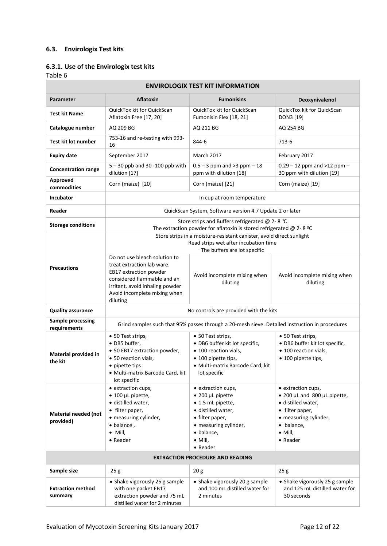# **6.3. Envirologix Test kits**

# **6.3.1. Use of the Envirologix test kits**

| <b>ENVIROLOGIX TEST KIT INFORMATION</b>  |                                                                                                                                                                                                     |                                                                                                                                                                                    |                                                                                                                                                                   |  |  |  |
|------------------------------------------|-----------------------------------------------------------------------------------------------------------------------------------------------------------------------------------------------------|------------------------------------------------------------------------------------------------------------------------------------------------------------------------------------|-------------------------------------------------------------------------------------------------------------------------------------------------------------------|--|--|--|
| <b>Parameter</b>                         | <b>Aflatoxin</b>                                                                                                                                                                                    | <b>Fumonisins</b>                                                                                                                                                                  | Deoxynivalenol                                                                                                                                                    |  |  |  |
| <b>Test kit Name</b>                     | QuickTox kit for QuickScan<br>Aflatoxin Free [17, 20]                                                                                                                                               | QuickTox kit for QuickScan<br>Fumonisin Flex [18, 21]                                                                                                                              | QuickTox kit for QuickScan<br>DON3 [19]                                                                                                                           |  |  |  |
| Catalogue number                         | AQ 209 BG                                                                                                                                                                                           | AQ 211 BG                                                                                                                                                                          | AQ 254 BG                                                                                                                                                         |  |  |  |
| <b>Test kit lot number</b>               | 753-16 and re-testing with 993-<br>16                                                                                                                                                               | 844-6                                                                                                                                                                              | 713-6                                                                                                                                                             |  |  |  |
| <b>Expiry date</b>                       | September 2017                                                                                                                                                                                      | <b>March 2017</b>                                                                                                                                                                  | February 2017                                                                                                                                                     |  |  |  |
| <b>Concentration range</b>               | 5-30 ppb and 30-100 ppb with<br>dilution [17]                                                                                                                                                       | $0.5 - 3$ ppm and > 3 ppm $-18$<br>ppm with dilution [18]                                                                                                                          | $0.29 - 12$ ppm and >12 ppm -<br>30 ppm with dilution [19]                                                                                                        |  |  |  |
| Approved<br>commodities                  | Corn (maize) [20]                                                                                                                                                                                   | Corn (maize) [21]                                                                                                                                                                  | Corn (maize) [19]                                                                                                                                                 |  |  |  |
| <b>Incubator</b>                         |                                                                                                                                                                                                     | In cup at room temperature                                                                                                                                                         |                                                                                                                                                                   |  |  |  |
| Reader                                   |                                                                                                                                                                                                     | QuickScan System, Software version 4.7 Update 2 or later                                                                                                                           |                                                                                                                                                                   |  |  |  |
| <b>Storage conditions</b>                |                                                                                                                                                                                                     | Store strips and Buffers refrigerated @ 2-8 °C<br>The extraction powder for aflatoxin is stored refrigerated $@$ 2-8 °C                                                            |                                                                                                                                                                   |  |  |  |
|                                          |                                                                                                                                                                                                     | Store strips in a moisture-resistant canister, avoid direct sunlight                                                                                                               |                                                                                                                                                                   |  |  |  |
|                                          |                                                                                                                                                                                                     | Read strips wet after incubation time                                                                                                                                              |                                                                                                                                                                   |  |  |  |
|                                          |                                                                                                                                                                                                     | The buffers are lot specific                                                                                                                                                       |                                                                                                                                                                   |  |  |  |
| <b>Precautions</b>                       | Do not use bleach solution to<br>treat extraction lab ware.<br>EB17 extraction powder<br>considered flammable and an<br>irritant, avoid inhaling powder<br>Avoid incomplete mixing when<br>diluting | Avoid incomplete mixing when<br>diluting                                                                                                                                           | Avoid incomplete mixing when<br>diluting                                                                                                                          |  |  |  |
| <b>Quality assurance</b>                 |                                                                                                                                                                                                     | No controls are provided with the kits                                                                                                                                             |                                                                                                                                                                   |  |  |  |
| <b>Sample processing</b><br>requirements |                                                                                                                                                                                                     | Grind samples such that 95% passes through a 20-mesh sieve. Detailed instruction in procedures                                                                                     |                                                                                                                                                                   |  |  |  |
| Material provided in<br>the kit          | • 50 Test strips,<br>• DB5 buffer,<br>• 50 EB17 extraction powder,<br>• 50 reaction vials,<br>• pipette tips<br>· Multi-matrix Barcode Card, kit<br>lot specific                                    | • 50 Test strips,<br>· DB6 buffer kit lot specific,<br>• 100 reaction vials,<br>• 100 pipette tips,<br>· Multi-matrix Barcode Card, kit<br>lot specific                            | • 50 Test strips,<br>· DB6 buffer kit lot specific,<br>• 100 reaction vials,<br>• 100 pipette tips,                                                               |  |  |  |
| Material needed (not<br>provided)        | · extraction cups,<br>$\bullet$ 100 µL pipette,<br>· distilled water,<br>• filter paper,<br>• measuring cylinder,<br>$\bullet$ balance,<br>$\bullet$ Mill,<br>• Reader                              | • extraction cups,<br>$\bullet$ 200 µL pipette<br>• 1.5 mL pipette,<br>· distilled water,<br>• filter paper,<br>• measuring cylinder,<br>· balance,<br>$\bullet$ Mill,<br>• Reader | • extraction cups,<br>• 200 µL and 800 µL pipette,<br>· distilled water,<br>• filter paper,<br>• measuring cylinder,<br>· balance,<br>$\bullet$ Mill,<br>• Reader |  |  |  |
| <b>EXTRACTION PROCEDURE AND READING</b>  |                                                                                                                                                                                                     |                                                                                                                                                                                    |                                                                                                                                                                   |  |  |  |
| Sample size                              | 25g                                                                                                                                                                                                 | 20 <sub>g</sub>                                                                                                                                                                    | 25 g                                                                                                                                                              |  |  |  |
| <b>Extraction method</b><br>summary      | • Shake vigorously 25 g sample<br>with one packet EB17<br>extraction powder and 75 mL<br>distilled water for 2 minutes                                                                              | • Shake vigorously 20 g sample<br>and 100 mL distilled water for<br>2 minutes                                                                                                      | • Shake vigorously 25 g sample<br>and 125 mL distilled water for<br>30 seconds                                                                                    |  |  |  |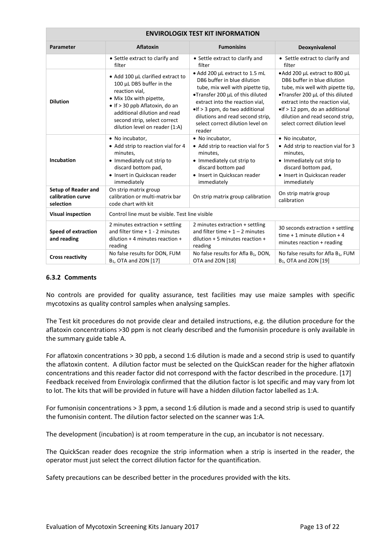| <b>ENVIROLOGIX TEST KIT INFORMATION</b>                      |                                                                                                                                                                                                                                                |                                                                                                                                                                                                                                                                                              |                                                                                                                                                                                                                                                                                |  |  |
|--------------------------------------------------------------|------------------------------------------------------------------------------------------------------------------------------------------------------------------------------------------------------------------------------------------------|----------------------------------------------------------------------------------------------------------------------------------------------------------------------------------------------------------------------------------------------------------------------------------------------|--------------------------------------------------------------------------------------------------------------------------------------------------------------------------------------------------------------------------------------------------------------------------------|--|--|
| Parameter                                                    | <b>Aflatoxin</b>                                                                                                                                                                                                                               | <b>Fumonisins</b>                                                                                                                                                                                                                                                                            | Deoxynivalenol                                                                                                                                                                                                                                                                 |  |  |
|                                                              | • Settle extract to clarify and<br>filter                                                                                                                                                                                                      | • Settle extract to clarify and<br>filter                                                                                                                                                                                                                                                    | • Settle extract to clarify and<br>filter                                                                                                                                                                                                                                      |  |  |
| <b>Dilution</b>                                              | • Add 100 µL clarified extract to<br>100 µL DB5 buffer in the<br>reaction vial,<br>• Mix 10x with pipette,<br>• If > 30 ppb Aflatoxin, do an<br>additional dilution and read<br>second strip, select correct<br>dilution level on reader (1:A) | · Add 200 µL extract to 1.5 mL<br>DB6 buffer in blue dilution<br>tube, mix well with pipette tip,<br>•Transfer 200 µL of this diluted<br>extract into the reaction vial,<br>•If > 3 ppm, do two additional<br>dilutions and read second strip,<br>select correct dilution level on<br>reader | • Add 200 µL extract to 800 µL<br>DB6 buffer in blue dilution<br>tube, mix well with pipette tip,<br>•Transfer 200 µL of this diluted<br>extract into the reaction vial,<br>•If > 12 ppm, do an additional<br>dilution and read second strip,<br>select correct dilution level |  |  |
| <b>Incubation</b>                                            | • No incubator,<br>• Add strip to reaction vial for 4<br>minutes,<br>• Immediately cut strip to<br>discard bottom pad,<br>• Insert in Quickscan reader<br>immediately                                                                          | • No incubator,<br>• Add strip to reaction vial for 5<br>minutes,<br>• Immediately cut strip to<br>discard bottom pad<br>• Insert in Quickscan reader<br>immediately                                                                                                                         | • No incubator,<br>• Add strip to reaction vial for 3<br>minutes,<br>• Immediately cut strip to<br>discard bottom pad,<br>• Insert in Quickscan reader<br>immediately                                                                                                          |  |  |
| <b>Setup of Reader and</b><br>calibration curve<br>selection | On strip matrix group<br>calibration or multi-matrix bar<br>code chart with kit                                                                                                                                                                | On strip matrix group calibration                                                                                                                                                                                                                                                            | On strip matrix group<br>calibration                                                                                                                                                                                                                                           |  |  |
| <b>Visual inspection</b>                                     | Control line must be visible. Test line visible                                                                                                                                                                                                |                                                                                                                                                                                                                                                                                              |                                                                                                                                                                                                                                                                                |  |  |
| <b>Speed of extraction</b><br>and reading                    | 2 minutes extraction + settling<br>and filter time $+1 - 2$ minutes<br>dilution $+4$ minutes reaction $+$<br>reading                                                                                                                           | 2 minutes extraction + settling<br>and filter time $+1 - 2$ minutes<br>dilution $+5$ minutes reaction $+$<br>reading                                                                                                                                                                         | 30 seconds extraction + settling<br>time $+1$ minute dilution $+4$<br>minutes reaction + reading                                                                                                                                                                               |  |  |
| <b>Cross reactivity</b>                                      | No false results for DON, FUM<br>B <sub>1</sub> , OTA and ZON [17]                                                                                                                                                                             | No false results for Afla B <sub>1</sub> , DON,<br>OTA and ZON [18]                                                                                                                                                                                                                          | No false results for Afla B <sub>1</sub> , FUM<br>B <sub>1</sub> , OTA and ZON [19]                                                                                                                                                                                            |  |  |

### **6.3.2 Comments**

No controls are provided for quality assurance, test facilities may use maize samples with specific mycotoxins as quality control samples when analysing samples.

The Test kit procedures do not provide clear and detailed instructions, e.g. the dilution procedure for the aflatoxin concentrations >30 ppm is not clearly described and the fumonisin procedure is only available in the summary guide table A.

For aflatoxin concentrations > 30 ppb, a second 1:6 dilution is made and a second strip is used to quantify the aflatoxin content. A dilution factor must be selected on the QuickScan reader for the higher aflatoxin concentrations and this reader factor did not correspond with the factor described in the procedure. [17] Feedback received from Envirologix confirmed that the dilution factor is lot specific and may vary from lot to lot. The kits that will be provided in future will have a hidden dilution factor labelled as 1:A.

For fumonisin concentrations > 3 ppm, a second 1:6 dilution is made and a second strip is used to quantify the fumonisin content. The dilution factor selected on the scanner was 1:A.

The development (incubation) is at room temperature in the cup, an incubator is not necessary.

The QuickScan reader does recognize the strip information when a strip is inserted in the reader, the operator must just select the correct dilution factor for the quantification.

Safety precautions can be described better in the procedures provided with the kits.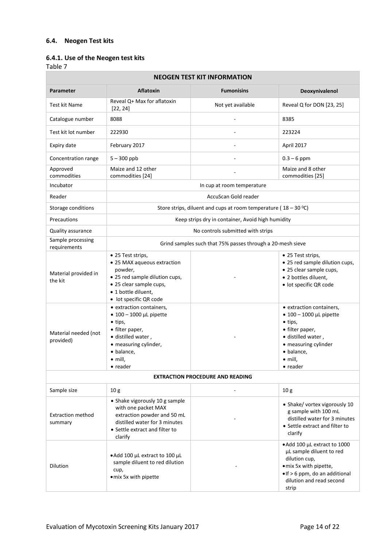# **6.4. Neogen Test kits**

# **6.4.1. Use of the Neogen test kits**

| <b>NEOGEN TEST KIT INFORMATION</b>                                   |                                                                                                                                                                                                                                                                                                                                                                                    |                                                                    |                                                                                                                                                                                                                                                                                                                                          |  |  |  |  |
|----------------------------------------------------------------------|------------------------------------------------------------------------------------------------------------------------------------------------------------------------------------------------------------------------------------------------------------------------------------------------------------------------------------------------------------------------------------|--------------------------------------------------------------------|------------------------------------------------------------------------------------------------------------------------------------------------------------------------------------------------------------------------------------------------------------------------------------------------------------------------------------------|--|--|--|--|
| <b>Parameter</b>                                                     | <b>Aflatoxin</b>                                                                                                                                                                                                                                                                                                                                                                   | <b>Fumonisins</b>                                                  | Deoxynivalenol                                                                                                                                                                                                                                                                                                                           |  |  |  |  |
| Test kit Name                                                        | Reveal Q+ Max for aflatoxin<br>[22, 24]                                                                                                                                                                                                                                                                                                                                            | Not yet available                                                  | Reveal Q for DON [23, 25]                                                                                                                                                                                                                                                                                                                |  |  |  |  |
| Catalogue number                                                     | 8088                                                                                                                                                                                                                                                                                                                                                                               |                                                                    | 8385                                                                                                                                                                                                                                                                                                                                     |  |  |  |  |
| Test kit lot number                                                  | 222930                                                                                                                                                                                                                                                                                                                                                                             |                                                                    | 223224                                                                                                                                                                                                                                                                                                                                   |  |  |  |  |
| Expiry date                                                          | February 2017                                                                                                                                                                                                                                                                                                                                                                      |                                                                    | April 2017                                                                                                                                                                                                                                                                                                                               |  |  |  |  |
| Concentration range                                                  | $5 - 300$ ppb                                                                                                                                                                                                                                                                                                                                                                      |                                                                    | $0.3 - 6$ ppm                                                                                                                                                                                                                                                                                                                            |  |  |  |  |
| Approved<br>commodities                                              | Maize and 12 other<br>commodities [24]                                                                                                                                                                                                                                                                                                                                             |                                                                    | Maize and 8 other<br>commodities [25]                                                                                                                                                                                                                                                                                                    |  |  |  |  |
| Incubator                                                            |                                                                                                                                                                                                                                                                                                                                                                                    | In cup at room temperature                                         |                                                                                                                                                                                                                                                                                                                                          |  |  |  |  |
| Reader                                                               |                                                                                                                                                                                                                                                                                                                                                                                    | AccuScan Gold reader                                               |                                                                                                                                                                                                                                                                                                                                          |  |  |  |  |
| Storage conditions                                                   |                                                                                                                                                                                                                                                                                                                                                                                    | Store strips, diluent and cups at room temperature ( $18 - 30$ °C) |                                                                                                                                                                                                                                                                                                                                          |  |  |  |  |
| Precautions                                                          |                                                                                                                                                                                                                                                                                                                                                                                    | Keep strips dry in container, Avoid high humidity                  |                                                                                                                                                                                                                                                                                                                                          |  |  |  |  |
| Quality assurance                                                    |                                                                                                                                                                                                                                                                                                                                                                                    | No controls submitted with strips                                  |                                                                                                                                                                                                                                                                                                                                          |  |  |  |  |
| Sample processing<br>requirements                                    |                                                                                                                                                                                                                                                                                                                                                                                    | Grind samples such that 75% passes through a 20-mesh sieve         |                                                                                                                                                                                                                                                                                                                                          |  |  |  |  |
| Material provided in<br>the kit<br>Material needed (not<br>provided) | • 25 Test strips,<br>• 25 MAX aqueous extraction<br>powder,<br>• 25 red sample dilution cups,<br>• 25 clear sample cups,<br>• 1 bottle diluent,<br>• lot specific QR code<br>• extraction containers,<br>$\bullet$ 100 - 1000 µL pipette<br>$\bullet$ tips,<br>• filter paper,<br>· distilled water,<br>• measuring cylinder,<br>· balance,<br>$\bullet$ mill.<br>$\bullet$ reader |                                                                    | • 25 Test strips,<br>• 25 red sample dilution cups,<br>• 25 clear sample cups,<br>· 2 bottles diluent,<br>· lot specific QR code<br>• extraction containers,<br>$\bullet$ 100 - 1000 µL pipette<br>$\bullet$ tips,<br>• filter paper,<br>· distilled water,<br>• measuring cylinder<br>· balance,<br>$\bullet$ mill,<br>$\bullet$ reader |  |  |  |  |
|                                                                      |                                                                                                                                                                                                                                                                                                                                                                                    | <b>EXTRACTION PROCEDURE AND READING</b>                            |                                                                                                                                                                                                                                                                                                                                          |  |  |  |  |
| Sample size                                                          | 10 <sub>g</sub>                                                                                                                                                                                                                                                                                                                                                                    |                                                                    | 10 <sub>g</sub>                                                                                                                                                                                                                                                                                                                          |  |  |  |  |
| <b>Extraction method</b><br>summary                                  | • Shake vigorously 10 g sample<br>with one packet MAX<br>extraction powder and 50 mL<br>distilled water for 3 minutes<br>• Settle extract and filter to<br>clarify                                                                                                                                                                                                                 |                                                                    | • Shake/ vortex vigorously 10<br>g sample with 100 mL<br>distilled water for 3 minutes<br>• Settle extract and filter to<br>clarify                                                                                                                                                                                                      |  |  |  |  |
| <b>Dilution</b>                                                      | • Add 100 µL extract to 100 µL<br>sample diluent to red dilution<br>cup,<br>· mix 5x with pipette                                                                                                                                                                                                                                                                                  |                                                                    | • Add 100 µL extract to 1000<br>µL sample diluent to red<br>dilution cup,<br>· mix 5x with pipette,<br>• If > 6 ppm, do an additional<br>dilution and read second<br>strip                                                                                                                                                               |  |  |  |  |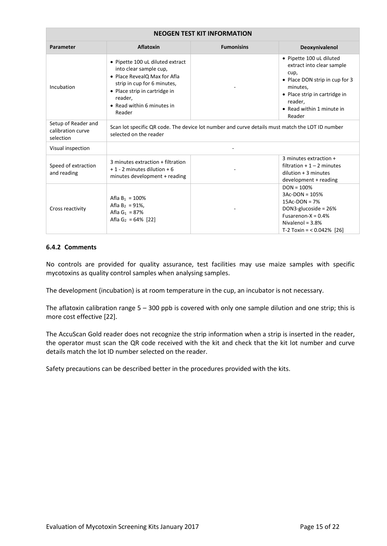| <b>NEOGEN TEST KIT INFORMATION</b>                    |                                                                                                                                                                                                               |                                                                                                 |                                                                                                                                                                                                |  |  |
|-------------------------------------------------------|---------------------------------------------------------------------------------------------------------------------------------------------------------------------------------------------------------------|-------------------------------------------------------------------------------------------------|------------------------------------------------------------------------------------------------------------------------------------------------------------------------------------------------|--|--|
| <b>Parameter</b>                                      | <b>Aflatoxin</b>                                                                                                                                                                                              | <b>Fumonisins</b>                                                                               | Deoxynivalenol                                                                                                                                                                                 |  |  |
| Incubation                                            | • Pipette 100 uL diluted extract<br>into clear sample cup,<br>• Place RevealQ Max for Afla<br>strip in cup for 6 minutes,<br>• Place strip in cartridge in<br>reader,<br>• Read within 6 minutes in<br>Reader |                                                                                                 | • Pipette 100 uL diluted<br>extract into clear sample<br>cup,<br>• Place DON strip in cup for 3<br>minutes,<br>• Place strip in cartridge in<br>reader,<br>• Read within 1 minute in<br>Reader |  |  |
| Setup of Reader and<br>calibration curve<br>selection | selected on the reader                                                                                                                                                                                        | Scan lot specific QR code. The device lot number and curve details must match the LOT ID number |                                                                                                                                                                                                |  |  |
| Visual inspection                                     |                                                                                                                                                                                                               |                                                                                                 |                                                                                                                                                                                                |  |  |
| Speed of extraction<br>and reading                    | 3 minutes extraction + filtration<br>$+1 - 2$ minutes dilution $+6$<br>minutes development + reading                                                                                                          |                                                                                                 | 3 minutes extraction +<br>filtration $+1-2$ minutes<br>$dilution + 3 minutes$<br>development + reading                                                                                         |  |  |
| Cross reactivity                                      | Afla $B_1 = 100\%$<br>Afla $B_2 = 91\%$ ,<br>Afla $G_1$ = 87%<br>Afla G <sub>2</sub> = 64% [22]                                                                                                               |                                                                                                 | $DOM = 100%$<br>$3AC-DOM = 105%$<br>$15Ac-DON = 7%$<br>DON3-glucoside = 26%<br>Fusarenon- $X = 0.4%$<br>Nivalenol = $3.8\%$<br>T-2 Toxin = $< 0.042\%$ [26]                                    |  |  |

### **6.4.2 Comments**

No controls are provided for quality assurance, test facilities may use maize samples with specific mycotoxins as quality control samples when analysing samples.

The development (incubation) is at room temperature in the cup, an incubator is not necessary.

The aflatoxin calibration range 5 – 300 ppb is covered with only one sample dilution and one strip; this is more cost effective [22].

The AccuScan Gold reader does not recognize the strip information when a strip is inserted in the reader, the operator must scan the QR code received with the kit and check that the kit lot number and curve details match the lot ID number selected on the reader.

Safety precautions can be described better in the procedures provided with the kits.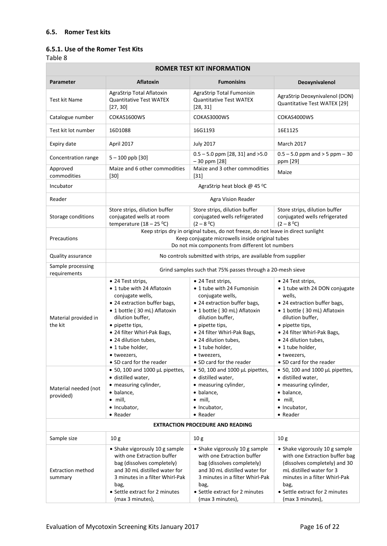### **6.5. Romer Test kits**

# **6.5.1. Use of the Romer Test Kits**

| <b>ROMER TEST KIT INFORMATION</b>                  |                                                                                                                                                                                                                                                                                                  |                                                                                                                                                                                                                                                                                                  |                                                                                                                                                                                                                                                                                            |  |  |  |
|----------------------------------------------------|--------------------------------------------------------------------------------------------------------------------------------------------------------------------------------------------------------------------------------------------------------------------------------------------------|--------------------------------------------------------------------------------------------------------------------------------------------------------------------------------------------------------------------------------------------------------------------------------------------------|--------------------------------------------------------------------------------------------------------------------------------------------------------------------------------------------------------------------------------------------------------------------------------------------|--|--|--|
| Parameter                                          | <b>Aflatoxin</b>                                                                                                                                                                                                                                                                                 | <b>Fumonisins</b>                                                                                                                                                                                                                                                                                | Deoxynivalenol                                                                                                                                                                                                                                                                             |  |  |  |
| Test kit Name                                      | AgraStrip Total Aflatoxin<br><b>Quantitative Test WATEX</b><br>[27, 30]                                                                                                                                                                                                                          | AgraStrip Total Fumonisin<br><b>Quantitative Test WATEX</b><br>[28, 31]                                                                                                                                                                                                                          | AgraStrip Deoxynivalenol (DON)<br>Quantitative Test WATEX [29]                                                                                                                                                                                                                             |  |  |  |
| Catalogue number                                   | COKAS1600WS                                                                                                                                                                                                                                                                                      | COKAS3000WS                                                                                                                                                                                                                                                                                      | COKAS4000WS                                                                                                                                                                                                                                                                                |  |  |  |
| Test kit lot number                                | 16D1088                                                                                                                                                                                                                                                                                          | 16G1193                                                                                                                                                                                                                                                                                          | 16E1125                                                                                                                                                                                                                                                                                    |  |  |  |
| Expiry date                                        | April 2017                                                                                                                                                                                                                                                                                       | <b>July 2017</b>                                                                                                                                                                                                                                                                                 | <b>March 2017</b>                                                                                                                                                                                                                                                                          |  |  |  |
| Concentration range                                | $5 - 100$ ppb [30]                                                                                                                                                                                                                                                                               | $0.5 - 5.0$ ppm [28, 31] and $>5.0$<br>$-30$ ppm [28]                                                                                                                                                                                                                                            | $0.5 - 5.0$ ppm and $> 5$ ppm $-30$<br>ppm [29]                                                                                                                                                                                                                                            |  |  |  |
| Approved<br>commodities                            | Maize and 6 other commodities<br>$[30]$                                                                                                                                                                                                                                                          | Maize and 3 other commodities<br>$[31]$                                                                                                                                                                                                                                                          | Maize                                                                                                                                                                                                                                                                                      |  |  |  |
| Incubator                                          |                                                                                                                                                                                                                                                                                                  | AgraStrip heat block @ 45 °C                                                                                                                                                                                                                                                                     |                                                                                                                                                                                                                                                                                            |  |  |  |
| Reader                                             |                                                                                                                                                                                                                                                                                                  | Agra Vision Reader                                                                                                                                                                                                                                                                               |                                                                                                                                                                                                                                                                                            |  |  |  |
| Storage conditions                                 | Store strips, dilution buffer<br>conjugated wells at room<br>temperature $(18 - 25 \degree C)$                                                                                                                                                                                                   | Store strips, dilution buffer<br>conjugated wells refrigerated<br>$(2 - 80C)$                                                                                                                                                                                                                    | Store strips, dilution buffer<br>conjugated wells refrigerated<br>$(2 - 80C)$                                                                                                                                                                                                              |  |  |  |
| Precautions                                        | Keep strips dry in original tubes, do not freeze, do not leave in direct sunlight<br>Keep conjugate microwells inside original tubes<br>Do not mix components from different lot numbers                                                                                                         |                                                                                                                                                                                                                                                                                                  |                                                                                                                                                                                                                                                                                            |  |  |  |
| Quality assurance                                  |                                                                                                                                                                                                                                                                                                  | No controls submitted with strips, are available from supplier                                                                                                                                                                                                                                   |                                                                                                                                                                                                                                                                                            |  |  |  |
| Sample processing<br>requirements                  |                                                                                                                                                                                                                                                                                                  | Grind samples such that 75% passes through a 20-mesh sieve                                                                                                                                                                                                                                       |                                                                                                                                                                                                                                                                                            |  |  |  |
| Material provided in<br>the kit                    | • 24 Test strips,<br>• 1 tube with 24 Aflatoxin<br>conjugate wells,<br>• 24 extraction buffer bags,<br>• 1 bottle (30 mL) Aflatoxin<br>dilution buffer,<br>• pipette tips,<br>• 24 filter Whirl-Pak Bags,<br>• 24 dilution tubes,<br>• 1 tube holder.<br>• tweezers,<br>• SD card for the reader | • 24 Test strips,<br>• 1 tube with 24 Fumonisin<br>conjugate wells,<br>• 24 extraction buffer bags,<br>· 1 bottle (30 mL) Aflatoxin<br>dilution buffer,<br>• pipette tips,<br>• 24 filter Whirl-Pak Bags,<br>• 24 dilution tubes.<br>• 1 tube holder,<br>• tweezers,<br>• SD card for the reader | • 24 Test strips,<br>• 1 tube with 24 DON conjugate<br>wells,<br>• 24 extraction buffer bags,<br>• 1 bottle (30 mL) Aflatoxin<br>dilution buffer,<br>• pipette tips,<br>• 24 filter Whirl-Pak Bags,<br>• 24 dilution tubes.<br>• 1 tube holder,<br>• tweezers,<br>• SD card for the reader |  |  |  |
| Material needed (not<br>provided)                  | $\bullet$ 50, 100 and 1000 µL pipettes,<br>· distilled water,<br>• measuring cylinder,<br>$\bullet$ balance,<br>$\bullet$ mill,<br>• Incubator,<br>• Reader                                                                                                                                      | $\bullet$ 50, 100 and 1000 µL pipettes,<br>· distilled water,<br>• measuring cylinder,<br>• balance,<br>$\bullet$ mill,<br>· Incubator,<br>• Reader                                                                                                                                              | $\bullet$ 50, 100 and 1000 µL pipettes,<br>· distilled water,<br>• measuring cylinder,<br>· balance,<br>$\bullet$ mill,<br>· Incubator,<br>• Reader                                                                                                                                        |  |  |  |
|                                                    |                                                                                                                                                                                                                                                                                                  | <b>EXTRACTION PROCEDURE AND READING</b>                                                                                                                                                                                                                                                          |                                                                                                                                                                                                                                                                                            |  |  |  |
| Sample size<br><b>Extraction method</b><br>summary | 10 <sub>g</sub><br>• Shake vigorously 10 g sample<br>with one Extraction buffer<br>bag (dissolves completely)<br>and 30 mL distilled water for<br>3 minutes in a filter Whirl-Pak<br>bag,<br>• Settle extract for 2 minutes<br>(max 3 minutes),                                                  | 10 <sub>g</sub><br>• Shake vigorously 10 g sample<br>with one Extraction buffer<br>bag (dissolves completely)<br>and 30 mL distilled water for<br>3 minutes in a filter Whirl-Pak<br>bag,<br>• Settle extract for 2 minutes<br>(max 3 minutes),                                                  | 10 <sub>g</sub><br>• Shake vigorously 10 g sample<br>with one Extraction buffer bag<br>(dissolves completely) and 30<br>mL distilled water for 3<br>minutes in a filter Whirl-Pak<br>bag,<br>• Settle extract for 2 minutes<br>(max 3 minutes),                                            |  |  |  |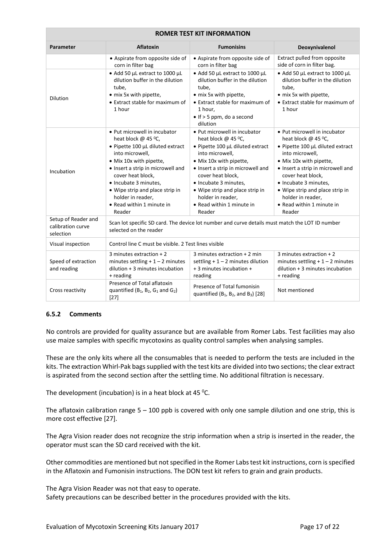| <b>Parameter</b>                                      | <b>Aflatoxin</b>                                                                                                                                                                                                                                                                                                        | <b>Fumonisins</b>                                                                                                                                                                                                                                                                                                       | Deoxynivalenol                                                                                                                                                                                                                                                                                                          |
|-------------------------------------------------------|-------------------------------------------------------------------------------------------------------------------------------------------------------------------------------------------------------------------------------------------------------------------------------------------------------------------------|-------------------------------------------------------------------------------------------------------------------------------------------------------------------------------------------------------------------------------------------------------------------------------------------------------------------------|-------------------------------------------------------------------------------------------------------------------------------------------------------------------------------------------------------------------------------------------------------------------------------------------------------------------------|
|                                                       | • Aspirate from opposite side of<br>corn in filter bag                                                                                                                                                                                                                                                                  | • Aspirate from opposite side of<br>corn in filter bag                                                                                                                                                                                                                                                                  | Extract pulled from opposite<br>side of corn in filter bag.                                                                                                                                                                                                                                                             |
| Dilution                                              | • Add 50 µL extract to 1000 µL<br>dilution buffer in the dilution<br>tube,<br>• mix 5x with pipette,<br>• Extract stable for maximum of<br>1 hour                                                                                                                                                                       | • Add 50 µL extract to 1000 µL<br>dilution buffer in the dilution<br>tube,<br>• mix 5x with pipette,<br>• Extract stable for maximum of<br>1 hour,<br>$\bullet$ If > 5 ppm, do a second<br>dilution                                                                                                                     | • Add 50 µL extract to 1000 µL<br>dilution buffer in the dilution<br>tube,<br>• mix 5x with pipette,<br>• Extract stable for maximum of<br>1 hour                                                                                                                                                                       |
| Incubation                                            | . Put microwell in incubator<br>heat block @ 45 °C,<br>• Pipette 100 µL diluted extract<br>into microwell,<br>• Mix 10x with pipette,<br>• Insert a strip in microwell and<br>cover heat block,<br>• Incubate 3 minutes,<br>• Wipe strip and place strip in<br>holder in reader,<br>• Read within 1 minute in<br>Reader | • Put microwell in incubator<br>heat block @ 45 °C,<br>• Pipette 100 µL diluted extract<br>into microwell,<br>• Mix 10x with pipette,<br>• Insert a strip in microwell and<br>cover heat block,<br>• Incubate 3 minutes,<br>• Wipe strip and place strip in<br>holder in reader,<br>• Read within 1 minute in<br>Reader | • Put microwell in incubator<br>heat block @ 45 °C,<br>• Pipette 100 µL diluted extract<br>into microwell,<br>• Mix 10x with pipette,<br>• Insert a strip in microwell and<br>cover heat block,<br>• Incubate 3 minutes,<br>• Wipe strip and place strip in<br>holder in reader,<br>• Read within 1 minute in<br>Reader |
| Setup of Reader and<br>calibration curve<br>selection | selected on the reader                                                                                                                                                                                                                                                                                                  | Scan lot specific SD card. The device lot number and curve details must match the LOT ID number                                                                                                                                                                                                                         |                                                                                                                                                                                                                                                                                                                         |
| Visual inspection                                     | Control line C must be visible, 2 Test lines visible                                                                                                                                                                                                                                                                    |                                                                                                                                                                                                                                                                                                                         |                                                                                                                                                                                                                                                                                                                         |
| Speed of extraction<br>and reading                    | 3 minutes extraction $+2$<br>minutes settling $+1 - 2$ minutes<br>$dilution + 3 minutes incubation$<br>+ reading                                                                                                                                                                                                        | 3 minutes extraction $+2$ min<br>settling $+1 - 2$ minutes dilution<br>+ 3 minutes incubation +<br>reading                                                                                                                                                                                                              | 3 minutes extraction $+2$<br>minutes settling $+1-2$ minutes<br>$dilution + 3 minutes incubation$<br>+ reading                                                                                                                                                                                                          |
| Cross reactivity                                      | Presence of Total aflatoxin<br>quantified ( $B_1$ , $B_2$ , $G_1$ and $G_2$ )<br>$[27]$                                                                                                                                                                                                                                 | Presence of Total fumonisin<br>quantified $(B_1, B_2,$ and $B_3$ [28]                                                                                                                                                                                                                                                   | Not mentioned                                                                                                                                                                                                                                                                                                           |

#### **6.5.2 Comments**

No controls are provided for quality assurance but are available from Romer Labs. Test facilities may also use maize samples with specific mycotoxins as quality control samples when analysing samples.

These are the only kits where all the consumables that is needed to perform the tests are included in the kits. The extraction Whirl-Pak bags supplied with the test kits are divided into two sections; the clear extract is aspirated from the second section after the settling time. No additional filtration is necessary.

The development (incubation) is in a heat block at 45  $^{\circ}$ C.

The aflatoxin calibration range  $5 - 100$  ppb is covered with only one sample dilution and one strip, this is more cost effective [27].

The Agra Vision reader does not recognize the strip information when a strip is inserted in the reader, the operator must scan the SD card received with the kit.

Other commodities are mentioned but not specified in the Romer Labs test kit instructions, corn is specified in the Aflatoxin and Fumonisin instructions. The DON test kit refers to grain and grain products.

The Agra Vision Reader was not that easy to operate. Safety precautions can be described better in the procedures provided with the kits.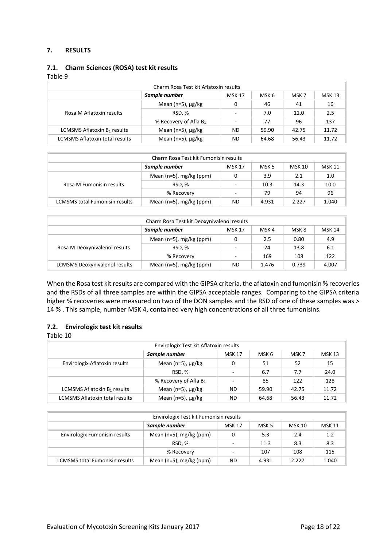### **7. RESULTS**

### **7.1. Charm Sciences (ROSA) test kit results**

### Table 9

| Charm Rosa Test kit Aflatoxin results |                            |               |       |       |               |  |
|---------------------------------------|----------------------------|---------------|-------|-------|---------------|--|
|                                       | Sample number              | <b>MSK 17</b> | MSK 6 | MSK 7 | <b>MSK 13</b> |  |
| Rosa M Aflatoxin results              | Mean ( $n=5$ ), $\mu$ g/kg | 0             | 46    | 41    | 16            |  |
|                                       | RSD.%                      |               | 7.0   | 11.0  | 2.5           |  |
|                                       | % Recovery of Afla $B_1$   |               | 77    | 96    | 137           |  |
| LCMSMS Aflatoxin $B_1$ results        | Mean ( $n=5$ ), $\mu$ g/kg | <b>ND</b>     | 59.90 | 42.75 | 11.72         |  |
| <b>LCMSMS Aflatoxin total results</b> | Mean ( $n=5$ ), $\mu$ g/kg | <b>ND</b>     | 64.68 | 56.43 | 11.72         |  |

| Charm Rosa Test kit Fumonisin results                    |                                 |    |       |       |               |  |
|----------------------------------------------------------|---------------------------------|----|-------|-------|---------------|--|
| Sample number<br><b>MSK 17</b><br><b>MSK 10</b><br>MSK 5 |                                 |    |       |       | <b>MSK 11</b> |  |
| Rosa M Fumonisin results                                 | Mean ( $n=5$ ), mg/kg ( $ppm$ ) | 0  | 3.9   | 2.1   | 1.0           |  |
|                                                          | RSD.%                           |    | 10.3  | 14.3  | 10.0          |  |
|                                                          | % Recovery                      |    | 79    | 94    | 96            |  |
| <b>LCMSMS total Fumonisin results</b>                    | Mean ( $n=5$ ), mg/kg ( $ppm$ ) | ND | 4.931 | 2.227 | 1.040         |  |

| Charm Rosa Test kit Deoxynivalenol results                  |                                 |           |       |       |               |  |
|-------------------------------------------------------------|---------------------------------|-----------|-------|-------|---------------|--|
| Sample number<br>MSK <sub>4</sub><br><b>MSK 17</b><br>MSK 8 |                                 |           |       |       | <b>MSK 14</b> |  |
|                                                             | Mean ( $n=5$ ), mg/kg ( $ppm$ ) | 0         | 2.5   | 0.80  | 4.9           |  |
| Rosa M Deoxynivalenol results                               | RSD.%                           |           | 24    | 13.8  | 6.1           |  |
|                                                             | % Recovery                      |           | 169   | 108   | 122           |  |
| <b>LCMSMS Deoxynivalenol results</b>                        | Mean ( $n=5$ ), mg/kg ( $ppm$ ) | <b>ND</b> | 1.476 | 0.739 | 4.007         |  |

When the Rosa test kit results are compared with the GIPSA criteria, the aflatoxin and fumonisin % recoveries and the RSDs of all three samples are within the GIPSA acceptable ranges. Comparing to the GIPSA criteria higher % recoveries were measured on two of the DON samples and the RSD of one of these samples was > 14 % . This sample, number MSK 4, contained very high concentrations of all three fumonisins.

### **7.2. Envirologix test kit results**

| Envirologix Test kit Aflatoxin results |                            |                          |       |       |               |  |
|----------------------------------------|----------------------------|--------------------------|-------|-------|---------------|--|
|                                        | Sample number              | <b>MSK 17</b>            | MSK 6 | MSK 7 | <b>MSK 13</b> |  |
| Envirologix Aflatoxin results          | Mean (n=5), $\mu$ g/kg     | 0                        | 51    | 52    | 15            |  |
|                                        | RSD, %                     | $\overline{\phantom{a}}$ | 6.7   | 7.7   | 24.0          |  |
|                                        | % Recovery of Afla $B_1$   | $\overline{\phantom{a}}$ | 85    | 122   | 128           |  |
| LCMSMS Aflatoxin $B_1$ results         | Mean (n=5), $\mu$ g/kg     | ND.                      | 59.90 | 42.75 | 11.72         |  |
| <b>LCMSMS Aflatoxin total results</b>  | Mean ( $n=5$ ), $\mu$ g/kg | ND.                      | 64.68 | 56.43 | 11.72         |  |

| Envirologix Test kit Fumonisin results                                    |                                 |                          |       |       |       |  |
|---------------------------------------------------------------------------|---------------------------------|--------------------------|-------|-------|-------|--|
| Sample number<br><b>MSK 11</b><br><b>MSK 10</b><br><b>MSK 17</b><br>MSK 5 |                                 |                          |       |       |       |  |
| Envirologix Fumonisin results                                             | Mean ( $n=5$ ), mg/kg ( $ppm$ ) | 0                        | 5.3   | 2.4   | 1.2   |  |
|                                                                           | RSD.%                           | $\overline{\phantom{a}}$ | 11.3  | 8.3   | 8.3   |  |
|                                                                           | % Recovery                      | $\overline{\phantom{a}}$ | 107   | 108   | 115   |  |
| LCMSMS total Fumonisin results                                            | Mean ( $n=5$ ), mg/kg ( $ppm$ ) | ND.                      | 4.931 | 2.227 | 1.040 |  |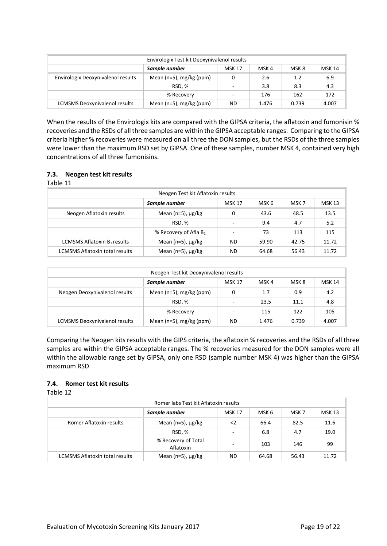| Envirologix Test kit Deoxynivalenol results      |                                 |                          |       |       |               |  |
|--------------------------------------------------|---------------------------------|--------------------------|-------|-------|---------------|--|
| Sample number<br>MSK 4<br>MSK 8<br><b>MSK 17</b> |                                 |                          |       |       | <b>MSK 14</b> |  |
| Envirologix Deoxynivalenol results               | Mean ( $n=5$ ), mg/kg ( $ppm$ ) | 0                        | 2.6   | 1.2   | 6.9           |  |
|                                                  | RSD.%                           | $\overline{\phantom{a}}$ | 3.8   | 8.3   | 4.3           |  |
|                                                  | % Recovery                      | ÷                        | 176   | 162   | 172           |  |
| <b>LCMSMS Deoxynivalenol results</b>             | Mean ( $n=5$ ), mg/kg ( $ppm$ ) | <b>ND</b>                | 1.476 | 0.739 | 4.007         |  |

When the results of the Envirologix kits are compared with the GIPSA criteria, the aflatoxin and fumonisin % recoveries and the RSDs of all three samples are within the GIPSA acceptable ranges. Comparing to the GIPSA criteria higher % recoveries were measured on all three the DON samples, but the RSDs of the three samples were lower than the maximum RSD set by GIPSA. One of these samples, number MSK 4, contained very high concentrations of all three fumonisins.

### **7.3. Neogen test kit results**

Table 11

| Neogen Test kit Aflatoxin results     |                            |                |       |       |               |  |  |
|---------------------------------------|----------------------------|----------------|-------|-------|---------------|--|--|
|                                       | Sample number              | <b>MSK 17</b>  | MSK 6 | MSK 7 | <b>MSK 13</b> |  |  |
| Neogen Aflatoxin results              | Mean (n=5), µg/kg          | 0              | 43.6  | 48.5  | 13.5          |  |  |
|                                       | RSD, %                     |                | 9.4   | 4.7   | 5.2           |  |  |
|                                       | % Recovery of Afla $B_1$   | $\blacksquare$ | 73    | 113   | 115           |  |  |
| LCMSMS Aflatoxin B1 results           | Mean $(n=5)$ , $\mu$ g/kg  | <b>ND</b>      | 59.90 | 42.75 | 11.72         |  |  |
| <b>LCMSMS Aflatoxin total results</b> | Mean ( $n=5$ ), $\mu$ g/kg | <b>ND</b>      | 64.68 | 56.43 | 11.72         |  |  |

| Neogen Test kit Deoxynivalenol results           |                                 |                          |       |       |               |  |  |
|--------------------------------------------------|---------------------------------|--------------------------|-------|-------|---------------|--|--|
| Sample number<br><b>MSK 17</b><br>MSK 4<br>MSK 8 |                                 |                          |       |       | <b>MSK 14</b> |  |  |
| Neogen Deoxynivalenol results                    | Mean (n=5), mg/kg (ppm)         | 0                        | 1.7   | 0.9   | 4.2           |  |  |
|                                                  | RSD.%                           | ٠                        | 23.5  | 11.1  | 4.8           |  |  |
|                                                  | % Recovery                      | $\overline{\phantom{a}}$ | 115   | 122   | 105           |  |  |
| <b>LCMSMS Deoxynivalenol results</b>             | Mean ( $n=5$ ), mg/kg ( $ppm$ ) | ND                       | 1.476 | 0.739 | 4.007         |  |  |

Comparing the Neogen kits results with the GIPS criteria, the aflatoxin % recoveries and the RSDs of all three samples are within the GIPSA acceptable ranges. The % recoveries measured for the DON samples were all within the allowable range set by GIPSA, only one RSD (sample number MSK 4) was higher than the GIPSA maximum RSD.

#### **7.4. Romer test kit results**

| Romer labs Test kit Aflatoxin results |                                  |                          |       |       |               |  |  |
|---------------------------------------|----------------------------------|--------------------------|-------|-------|---------------|--|--|
|                                       | Sample number                    | <b>MSK 17</b>            | MSK 6 | MSK 7 | <b>MSK 13</b> |  |  |
| Romer Aflatoxin results               | Mean ( $n=5$ ), $\mu$ g/kg       | $<$ 2                    | 66.4  | 82.5  | 11.6          |  |  |
|                                       | RSD, %                           | $\overline{\phantom{a}}$ | 6.8   | 4.7   | 19.0          |  |  |
|                                       | % Recovery of Total<br>Aflatoxin | -                        | 103   | 146   | 99            |  |  |
| <b>LCMSMS Aflatoxin total results</b> | Mean ( $n=5$ ), $\mu$ g/kg       | <b>ND</b>                | 64.68 | 56.43 | 11.72         |  |  |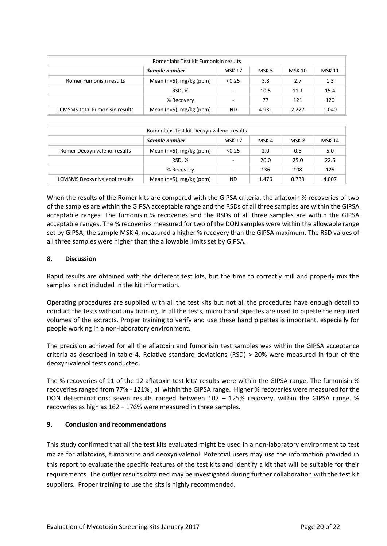| Romer labs Test kit Fumonisin results                    |                                 |                          |       |       |               |  |
|----------------------------------------------------------|---------------------------------|--------------------------|-------|-------|---------------|--|
| Sample number<br><b>MSK 10</b><br>MSK 5<br><b>MSK 17</b> |                                 |                          |       |       | <b>MSK 11</b> |  |
| <b>Romer Fumonisin results</b>                           | Mean ( $n=5$ ), mg/kg ( $ppm$ ) | < 0.25                   | 3.8   | 2.7   | 1.3           |  |
|                                                          | RSD, %                          | $\overline{\phantom{a}}$ | 10.5  | 11.1  | 15.4          |  |
|                                                          | % Recovery                      | $\overline{\phantom{a}}$ | 77    | 121   | 120           |  |
| <b>LCMSMS total Fumonisin results</b>                    | Mean ( $n=5$ ), mg/kg ( $ppm$ ) | ND.                      | 4.931 | 2.227 | 1.040         |  |

| Romer labs Test kit Deoxynivalenol results |                                 |                          |       |       |               |
|--------------------------------------------|---------------------------------|--------------------------|-------|-------|---------------|
|                                            | Sample number                   | <b>MSK 17</b>            | MSK 4 | MSK 8 | <b>MSK 14</b> |
| Romer Deoxynivalenol results               | Mean ( $n=5$ ), mg/kg ( $ppm$ ) | < 0.25                   | 2.0   | 0.8   | 5.0           |
|                                            | RSD.%                           | $\overline{\phantom{a}}$ | 20.0  | 25.0  | 22.6          |
|                                            | % Recovery                      | $\overline{\phantom{a}}$ | 136   | 108   | 125           |
| <b>LCMSMS Deoxynivalenol results</b>       | Mean ( $n=5$ ), mg/kg ( $ppm$ ) | ND                       | 1.476 | 0.739 | 4.007         |

When the results of the Romer kits are compared with the GIPSA criteria, the aflatoxin % recoveries of two of the samples are within the GIPSA acceptable range and the RSDs of all three samples are within the GIPSA acceptable ranges. The fumonisin % recoveries and the RSDs of all three samples are within the GIPSA acceptable ranges. The % recoveries measured for two of the DON samples were within the allowable range set by GIPSA, the sample MSK 4, measured a higher % recovery than the GIPSA maximum. The RSD values of all three samples were higher than the allowable limits set by GIPSA.

### **8. Discussion**

Rapid results are obtained with the different test kits, but the time to correctly mill and properly mix the samples is not included in the kit information.

Operating procedures are supplied with all the test kits but not all the procedures have enough detail to conduct the tests without any training. In all the tests, micro hand pipettes are used to pipette the required volumes of the extracts. Proper training to verify and use these hand pipettes is important, especially for people working in a non-laboratory environment.

The precision achieved for all the aflatoxin and fumonisin test samples was within the GIPSA acceptance criteria as described in table 4. Relative standard deviations (RSD) > 20% were measured in four of the deoxynivalenol tests conducted.

The % recoveries of 11 of the 12 aflatoxin test kits' results were within the GIPSA range. The fumonisin % recoveries ranged from 77% - 121% , all within the GIPSA range. Higher % recoveries were measured for the DON determinations; seven results ranged between 107 – 125% recovery, within the GIPSA range. % recoveries as high as 162 – 176% were measured in three samples.

#### **9. Conclusion and recommendations**

This study confirmed that all the test kits evaluated might be used in a non-laboratory environment to test maize for aflatoxins, fumonisins and deoxynivalenol. Potential users may use the information provided in this report to evaluate the specific features of the test kits and identify a kit that will be suitable for their requirements. The outlier results obtained may be investigated during further collaboration with the test kit suppliers. Proper training to use the kits is highly recommended.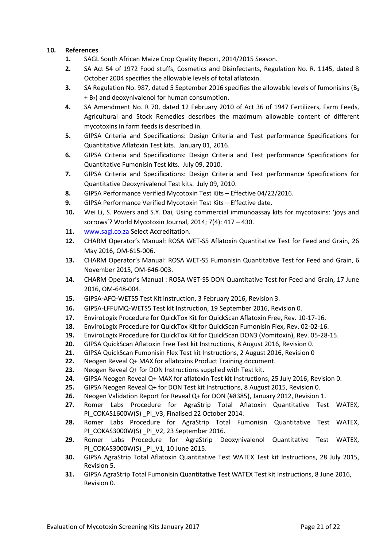### **10. References**

- **1.** SAGL South African Maize Crop Quality Report, 2014/2015 Season.
- **2.** SA Act 54 of 1972 Food stuffs, Cosmetics and Disinfectants, Regulation No. R. 1145, dated 8 October 2004 specifies the allowable levels of total aflatoxin.
- **3.** SA Regulation No. 987, dated 5 September 2016 specifies the allowable levels of fumonisins (B<sub>1</sub>  $+$  B<sub>2</sub>) and deoxynivalenol for human consumption.
- **4.** SA Amendment No. R 70, dated 12 February 2010 of Act 36 of 1947 Fertilizers, Farm Feeds, Agricultural and Stock Remedies describes the maximum allowable content of different mycotoxins in farm feeds is described in.
- **5.** GIPSA Criteria and Specifications: Design Criteria and Test performance Specifications for Quantitative Aflatoxin Test kits. January 01, 2016.
- **6.** GIPSA Criteria and Specifications: Design Criteria and Test performance Specifications for Quantitative Fumonisin Test kits. July 09, 2010.
- **7.** GIPSA Criteria and Specifications: Design Criteria and Test performance Specifications for Quantitative Deoxynivalenol Test kits. July 09, 2010.
- **8.** GIPSA Performance Verified Mycotoxin Test Kits Effective 04/22/2016.
- **9.** GIPSA Performance Verified Mycotoxin Test Kits Effective date.
- **10.** Wei Li, S. Powers and S.Y. Dai, Using commercial immunoassay kits for mycotoxins: 'joys and sorrows'? World Mycotoxin Journal, 2014; 7(4): 417 – 430.
- 11. [www.sagl.co.za](http://www.sagl.co.za/) Select Accreditation.
- **12.** CHARM Operator's Manual: ROSA WET-S5 Aflatoxin Quantitative Test for Feed and Grain, 26 May 2016, OM-615-006.
- **13.** CHARM Operator's Manual: ROSA WET-S5 Fumonisin Quantitative Test for Feed and Grain, 6 November 2015, OM-646-003.
- **14.** CHARM Operator's Manual : ROSA WET-S5 DON Quantitative Test for Feed and Grain, 17 June 2016, OM-648-004.
- **15.** GIPSA-AFQ-WETS5 Test Kit instruction, 3 February 2016, Revision 3.
- **16.** GIPSA-LFFUMQ-WETS5 Test kit Instruction, 19 September 2016, Revision 0.
- **17.** EnviroLogix Procedure for QuickTox Kit for QuickScan Aflatoxin Free, Rev. 10-17-16.
- **18.** EnviroLogix Procedure for QuickTox Kit for QuickScan Fumonisin Flex, Rev. 02-02-16.
- **19.** EnviroLogix Procedure for QuickTox Kit for QuickScan DON3 (Vomitoxin), Rev. 05-28-15.
- **20.** GIPSA QuickScan Aflatoxin Free Test kit Instructions, 8 August 2016, Revision 0.
- **21.** GIPSA QuickScan Fumonisin Flex Test kit Instructions, 2 August 2016, Revision 0
- **22.** Neogen Reveal Q+ MAX for aflatoxins Product Training document.
- **23.** Neogen Reveal Q+ for DON Instructions supplied with Test kit.
- **24.** GIPSA Neogen Reveal Q+ MAX for aflatoxin Test kit Instructions, 25 July 2016, Revision 0.
- **25.** GIPSA Neogen Reveal Q+ for DON Test kit Instructions, 8 August 2015, Revision 0.
- **26.** Neogen Validation Report for Reveal Q+ for DON (#8385), January 2012, Revision 1.
- **27.** Romer Labs Procedure for AgraStrip Total Aflatoxin Quantitative Test WATEX, PI\_COKAS1600W(S) \_PI\_V3, Finalised 22 October 2014.
- **28.** Romer Labs Procedure for AgraStrip Total Fumonisin Quantitative Test WATEX, PI\_COKAS3000W(S) PI\_V2, 23 September 2016.
- **29.** Romer Labs Procedure for AgraStrip Deoxynivalenol Quantitative Test WATEX, PI\_COKAS3000W(S) PI\_V1, 10 June 2015.
- **30.** GIPSA AgraStrip Total Aflatoxin Quantitative Test WATEX Test kit Instructions, 28 July 2015, Revision 5.
- **31.** GIPSA AgraStrip Total Fumonisin Quantitative Test WATEX Test kit Instructions, 8 June 2016, Revision 0.